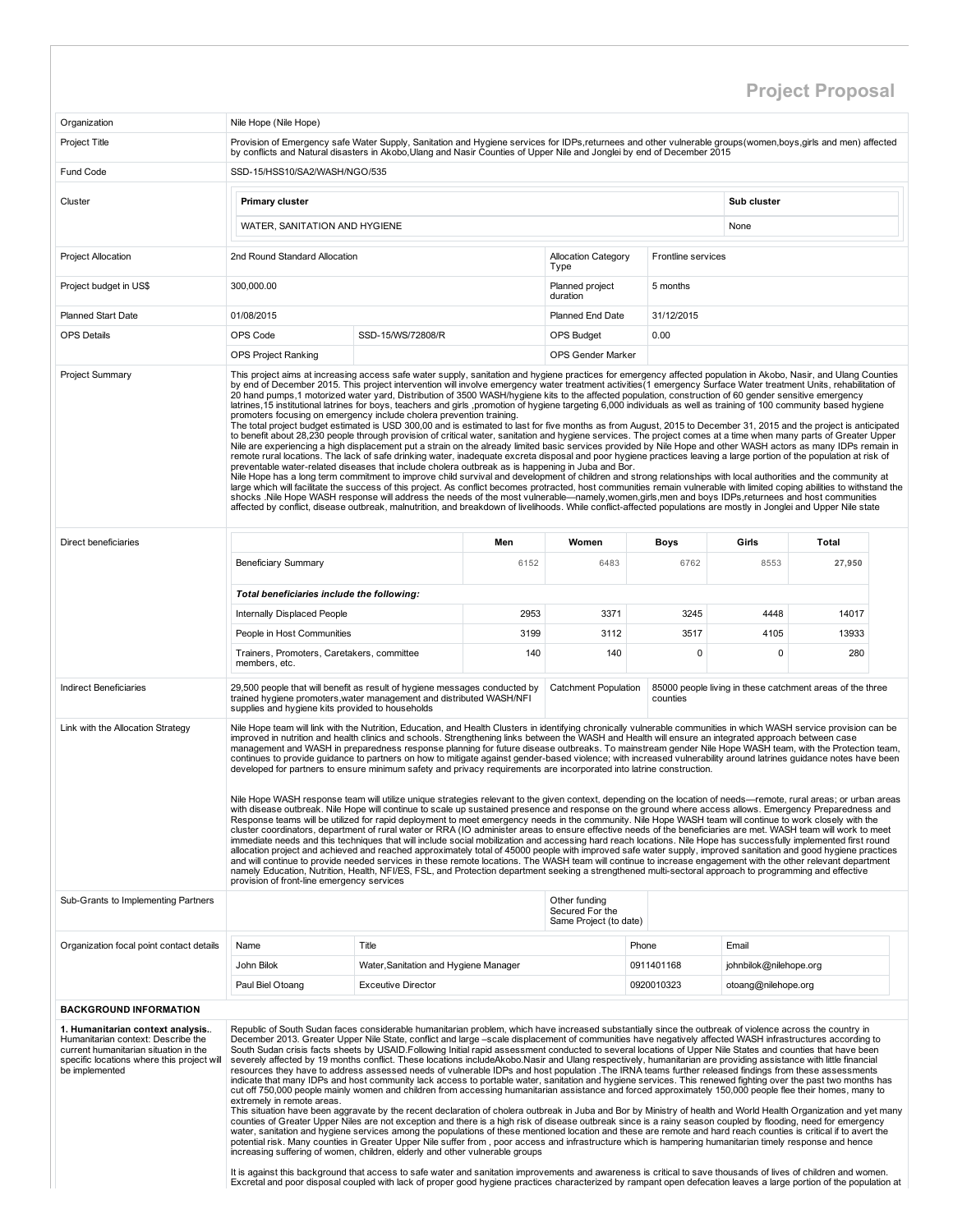## Project Proposal

| Organization                                                                                                                                                                    | Nile Hope (Nile Hope)                                                                                                                                                                                                                                                                                                                                                                                                                                                                                                                                                                                                                                                                                                                                                                                                                                                                                                                                                                                                                                                                                                                                                                                                                                                                                                                                                                                                                                                                                                                                                                                                                                                                                                                                                                                                                                                                                                                                                                                                                                                                                                                                                   |                                                          |      |                                                            |                     |                        |                                                           |  |  |  |  |  |  |
|---------------------------------------------------------------------------------------------------------------------------------------------------------------------------------|-------------------------------------------------------------------------------------------------------------------------------------------------------------------------------------------------------------------------------------------------------------------------------------------------------------------------------------------------------------------------------------------------------------------------------------------------------------------------------------------------------------------------------------------------------------------------------------------------------------------------------------------------------------------------------------------------------------------------------------------------------------------------------------------------------------------------------------------------------------------------------------------------------------------------------------------------------------------------------------------------------------------------------------------------------------------------------------------------------------------------------------------------------------------------------------------------------------------------------------------------------------------------------------------------------------------------------------------------------------------------------------------------------------------------------------------------------------------------------------------------------------------------------------------------------------------------------------------------------------------------------------------------------------------------------------------------------------------------------------------------------------------------------------------------------------------------------------------------------------------------------------------------------------------------------------------------------------------------------------------------------------------------------------------------------------------------------------------------------------------------------------------------------------------------|----------------------------------------------------------|------|------------------------------------------------------------|---------------------|------------------------|-----------------------------------------------------------|--|--|--|--|--|--|
| <b>Project Title</b>                                                                                                                                                            | Provision of Emergency safe Water Supply, Sanitation and Hygiene services for IDPs,returnees and other vulnerable groups(women,boys,girls and men) affected<br>by conflicts and Natural disasters in Akobo, Ulang and Nasir Counties of Upper Nile and Jonglei by end of December 2015                                                                                                                                                                                                                                                                                                                                                                                                                                                                                                                                                                                                                                                                                                                                                                                                                                                                                                                                                                                                                                                                                                                                                                                                                                                                                                                                                                                                                                                                                                                                                                                                                                                                                                                                                                                                                                                                                  |                                                          |      |                                                            |                     |                        |                                                           |  |  |  |  |  |  |
| Fund Code                                                                                                                                                                       | SSD-15/HSS10/SA2/WASH/NGO/535                                                                                                                                                                                                                                                                                                                                                                                                                                                                                                                                                                                                                                                                                                                                                                                                                                                                                                                                                                                                                                                                                                                                                                                                                                                                                                                                                                                                                                                                                                                                                                                                                                                                                                                                                                                                                                                                                                                                                                                                                                                                                                                                           |                                                          |      |                                                            |                     |                        |                                                           |  |  |  |  |  |  |
|                                                                                                                                                                                 |                                                                                                                                                                                                                                                                                                                                                                                                                                                                                                                                                                                                                                                                                                                                                                                                                                                                                                                                                                                                                                                                                                                                                                                                                                                                                                                                                                                                                                                                                                                                                                                                                                                                                                                                                                                                                                                                                                                                                                                                                                                                                                                                                                         |                                                          |      |                                                            |                     | Sub cluster            |                                                           |  |  |  |  |  |  |
| Cluster                                                                                                                                                                         | <b>Primary cluster</b>                                                                                                                                                                                                                                                                                                                                                                                                                                                                                                                                                                                                                                                                                                                                                                                                                                                                                                                                                                                                                                                                                                                                                                                                                                                                                                                                                                                                                                                                                                                                                                                                                                                                                                                                                                                                                                                                                                                                                                                                                                                                                                                                                  |                                                          |      |                                                            |                     |                        |                                                           |  |  |  |  |  |  |
|                                                                                                                                                                                 |                                                                                                                                                                                                                                                                                                                                                                                                                                                                                                                                                                                                                                                                                                                                                                                                                                                                                                                                                                                                                                                                                                                                                                                                                                                                                                                                                                                                                                                                                                                                                                                                                                                                                                                                                                                                                                                                                                                                                                                                                                                                                                                                                                         | WATER, SANITATION AND HYGIENE<br>None                    |      |                                                            |                     |                        |                                                           |  |  |  |  |  |  |
| <b>Project Allocation</b>                                                                                                                                                       | 2nd Round Standard Allocation                                                                                                                                                                                                                                                                                                                                                                                                                                                                                                                                                                                                                                                                                                                                                                                                                                                                                                                                                                                                                                                                                                                                                                                                                                                                                                                                                                                                                                                                                                                                                                                                                                                                                                                                                                                                                                                                                                                                                                                                                                                                                                                                           | Frontline services<br><b>Allocation Category</b><br>Type |      |                                                            |                     |                        |                                                           |  |  |  |  |  |  |
| Project budget in US\$                                                                                                                                                          | 300,000.00<br>Planned project<br>5 months<br>duration                                                                                                                                                                                                                                                                                                                                                                                                                                                                                                                                                                                                                                                                                                                                                                                                                                                                                                                                                                                                                                                                                                                                                                                                                                                                                                                                                                                                                                                                                                                                                                                                                                                                                                                                                                                                                                                                                                                                                                                                                                                                                                                   |                                                          |      |                                                            |                     |                        |                                                           |  |  |  |  |  |  |
| <b>Planned Start Date</b>                                                                                                                                                       | 01/08/2015                                                                                                                                                                                                                                                                                                                                                                                                                                                                                                                                                                                                                                                                                                                                                                                                                                                                                                                                                                                                                                                                                                                                                                                                                                                                                                                                                                                                                                                                                                                                                                                                                                                                                                                                                                                                                                                                                                                                                                                                                                                                                                                                                              | <b>Planned End Date</b><br>31/12/2015                    |      |                                                            |                     |                        |                                                           |  |  |  |  |  |  |
| <b>OPS Details</b>                                                                                                                                                              | OPS Code                                                                                                                                                                                                                                                                                                                                                                                                                                                                                                                                                                                                                                                                                                                                                                                                                                                                                                                                                                                                                                                                                                                                                                                                                                                                                                                                                                                                                                                                                                                                                                                                                                                                                                                                                                                                                                                                                                                                                                                                                                                                                                                                                                | SSD-15/WS/72808/R                                        |      | <b>OPS Budget</b>                                          | 0.00                |                        |                                                           |  |  |  |  |  |  |
|                                                                                                                                                                                 | <b>OPS Project Ranking</b>                                                                                                                                                                                                                                                                                                                                                                                                                                                                                                                                                                                                                                                                                                                                                                                                                                                                                                                                                                                                                                                                                                                                                                                                                                                                                                                                                                                                                                                                                                                                                                                                                                                                                                                                                                                                                                                                                                                                                                                                                                                                                                                                              |                                                          |      | OPS Gender Marker                                          |                     |                        |                                                           |  |  |  |  |  |  |
|                                                                                                                                                                                 | 20 hand pumps,1 motorized water yard, Distribution of 3500 WASH/hygiene kits to the affected population, construction of 60 gender sensitive emergency<br>latrines, 15 institutional latrines for boys, teachers and girls ,promotion of hygiene targeting 6,000 individuals as well as training of 100 community based hygiene<br>promoters focusing on emergency include cholera prevention training.<br>The total project budget estimated is USD 300,00 and is estimated to last for five months as from August, 2015 to December 31, 2015 and the project is anticipated<br>to benefit about 28,230 people through provision of critical water, sanitation and hygiene services. The project comes at a time when many parts of Greater Upper<br>Nile are experiencing a high displacement put a strain on the already limited basic services provided by Nile Hope and other WASH actors as many IDPs remain in<br>remote rural locations. The lack of safe drinking water, inadequate excreta disposal and poor hygiene practices leaving a large portion of the population at risk of<br>preventable water-related diseases that include cholera outbreak as is happening in Juba and Bor.<br>Nile Hope has a long term commitment to improve child survival and development of children and strong relationships with local authorities and the community at<br>large which will facilitate the success of this project. As conflict becomes protracted, host communities remain vulnerable with limited coping abilities to withstand the<br>shocks .Nile Hope WASH response will address the needs of the most vulnerable—namely, women, girls, men and boys IDPs, returnees and host communities<br>affected by conflict, disease outbreak, malnutrition, and breakdown of livelihoods. While conflict-affected populations are mostly in Jonglei and Upper Nile state                                                                                                                                                                                                                                                                                      |                                                          |      |                                                            |                     |                        |                                                           |  |  |  |  |  |  |
| Direct beneficiaries                                                                                                                                                            |                                                                                                                                                                                                                                                                                                                                                                                                                                                                                                                                                                                                                                                                                                                                                                                                                                                                                                                                                                                                                                                                                                                                                                                                                                                                                                                                                                                                                                                                                                                                                                                                                                                                                                                                                                                                                                                                                                                                                                                                                                                                                                                                                                         |                                                          | Men  | Women                                                      |                     | Girls                  | Total                                                     |  |  |  |  |  |  |
|                                                                                                                                                                                 | <b>Beneficiary Summary</b>                                                                                                                                                                                                                                                                                                                                                                                                                                                                                                                                                                                                                                                                                                                                                                                                                                                                                                                                                                                                                                                                                                                                                                                                                                                                                                                                                                                                                                                                                                                                                                                                                                                                                                                                                                                                                                                                                                                                                                                                                                                                                                                                              |                                                          | 6152 | 6483                                                       | <b>Boys</b><br>6762 | 8553                   | 27,950                                                    |  |  |  |  |  |  |
|                                                                                                                                                                                 | Total beneficiaries include the following:                                                                                                                                                                                                                                                                                                                                                                                                                                                                                                                                                                                                                                                                                                                                                                                                                                                                                                                                                                                                                                                                                                                                                                                                                                                                                                                                                                                                                                                                                                                                                                                                                                                                                                                                                                                                                                                                                                                                                                                                                                                                                                                              |                                                          |      |                                                            |                     |                        |                                                           |  |  |  |  |  |  |
|                                                                                                                                                                                 | Internally Displaced People                                                                                                                                                                                                                                                                                                                                                                                                                                                                                                                                                                                                                                                                                                                                                                                                                                                                                                                                                                                                                                                                                                                                                                                                                                                                                                                                                                                                                                                                                                                                                                                                                                                                                                                                                                                                                                                                                                                                                                                                                                                                                                                                             |                                                          | 2953 | 3371                                                       | 3245                | 4448                   | 14017                                                     |  |  |  |  |  |  |
|                                                                                                                                                                                 | People in Host Communities                                                                                                                                                                                                                                                                                                                                                                                                                                                                                                                                                                                                                                                                                                                                                                                                                                                                                                                                                                                                                                                                                                                                                                                                                                                                                                                                                                                                                                                                                                                                                                                                                                                                                                                                                                                                                                                                                                                                                                                                                                                                                                                                              |                                                          | 3199 | 3112                                                       | 3517                | 4105                   | 13933                                                     |  |  |  |  |  |  |
|                                                                                                                                                                                 | Trainers, Promoters, Caretakers, committee<br>members, etc.                                                                                                                                                                                                                                                                                                                                                                                                                                                                                                                                                                                                                                                                                                                                                                                                                                                                                                                                                                                                                                                                                                                                                                                                                                                                                                                                                                                                                                                                                                                                                                                                                                                                                                                                                                                                                                                                                                                                                                                                                                                                                                             |                                                          | 140  | 140                                                        | $\mathbf 0$         | 0                      | 280                                                       |  |  |  |  |  |  |
| <b>Indirect Beneficiaries</b>                                                                                                                                                   | 29,500 people that will benefit as result of hygiene messages conducted by<br>trained hygiene promoters, water management and distributed WASH/NFI<br>supplies and hygiene kits provided to households                                                                                                                                                                                                                                                                                                                                                                                                                                                                                                                                                                                                                                                                                                                                                                                                                                                                                                                                                                                                                                                                                                                                                                                                                                                                                                                                                                                                                                                                                                                                                                                                                                                                                                                                                                                                                                                                                                                                                                  |                                                          |      | <b>Catchment Population</b>                                | counties            |                        | 85000 people living in these catchment areas of the three |  |  |  |  |  |  |
| Link with the Allocation Strategy                                                                                                                                               | Nile Hope team will link with the Nutrition, Education, and Health Clusters in identifying chronically vulnerable communities in which WASH service provision can be<br>improved in nutrition and health clinics and schools. Strengthening links between the WASH and Health will ensure an integrated approach between case<br>management and WASH in preparedness response planning for future disease outbreaks. To mainstream gender Nile Hope WASH team, with the Protection team,<br>continues to provide guidance to partners on how to mitigate against gender-based violence; with increased vulnerability around latrines guidance notes have been<br>developed for partners to ensure minimum safety and privacy requirements are incorporated into latrine construction.<br>Nile Hope WASH response team will utilize unique strategies relevant to the given context, depending on the location of needs—remote, rural areas; or urban areas<br>with disease outbreak. Nile Hope will continue to scale up sustained presence and response on the ground where access allows. Emergency Preparedness and<br>Response teams will be utilized for rapid deployment to meet emergency needs in the community. Nile Hope WASH team will continue to work closely with the<br>cluster coordinators, department of rural water or RRA (IO administer areas to ensure effective needs of the beneficiaries are met. WASH team will work to meet<br>immediate needs and this techniques that will include social mobilization and accessing hard reach locations. Nile Hope has successfully implemented first round<br>allocation project and achieved and reached approximately total of 45000 people with improved safe water supply, improved sanitation and good hygiene practices<br>and will continue to provide needed services in these remote locations. The WASH team will continue to increase engagement with the other relevant department<br>namely Education, Nutrition, Health, NFI/ES, FSL, and Protection department seeking a strengthened multi-sectoral approach to programming and effective<br>provision of front-line emergency services |                                                          |      |                                                            |                     |                        |                                                           |  |  |  |  |  |  |
| Sub-Grants to Implementing Partners                                                                                                                                             |                                                                                                                                                                                                                                                                                                                                                                                                                                                                                                                                                                                                                                                                                                                                                                                                                                                                                                                                                                                                                                                                                                                                                                                                                                                                                                                                                                                                                                                                                                                                                                                                                                                                                                                                                                                                                                                                                                                                                                                                                                                                                                                                                                         |                                                          |      | Other funding<br>Secured For the<br>Same Project (to date) |                     |                        |                                                           |  |  |  |  |  |  |
| Organization focal point contact details                                                                                                                                        | Name                                                                                                                                                                                                                                                                                                                                                                                                                                                                                                                                                                                                                                                                                                                                                                                                                                                                                                                                                                                                                                                                                                                                                                                                                                                                                                                                                                                                                                                                                                                                                                                                                                                                                                                                                                                                                                                                                                                                                                                                                                                                                                                                                                    | Title                                                    |      |                                                            | Phone               | Email                  |                                                           |  |  |  |  |  |  |
|                                                                                                                                                                                 | John Bilok                                                                                                                                                                                                                                                                                                                                                                                                                                                                                                                                                                                                                                                                                                                                                                                                                                                                                                                                                                                                                                                                                                                                                                                                                                                                                                                                                                                                                                                                                                                                                                                                                                                                                                                                                                                                                                                                                                                                                                                                                                                                                                                                                              | Water, Sanitation and Hygiene Manager                    |      |                                                            | 0911401168          | johnbilok@nilehope.org |                                                           |  |  |  |  |  |  |
|                                                                                                                                                                                 | Paul Biel Otoang                                                                                                                                                                                                                                                                                                                                                                                                                                                                                                                                                                                                                                                                                                                                                                                                                                                                                                                                                                                                                                                                                                                                                                                                                                                                                                                                                                                                                                                                                                                                                                                                                                                                                                                                                                                                                                                                                                                                                                                                                                                                                                                                                        | <b>Exceutive Director</b>                                |      |                                                            | 0920010323          | otoang@nilehope.org    |                                                           |  |  |  |  |  |  |
| <b>BACKGROUND INFORMATION</b>                                                                                                                                                   |                                                                                                                                                                                                                                                                                                                                                                                                                                                                                                                                                                                                                                                                                                                                                                                                                                                                                                                                                                                                                                                                                                                                                                                                                                                                                                                                                                                                                                                                                                                                                                                                                                                                                                                                                                                                                                                                                                                                                                                                                                                                                                                                                                         |                                                          |      |                                                            |                     |                        |                                                           |  |  |  |  |  |  |
| 1. Humanitarian context analysis<br>Humanitarian context: Describe the<br>current humanitarian situation in the<br>specific locations where this project will<br>be implemented | Republic of South Sudan faces considerable humanitarian problem, which have increased substantially since the outbreak of violence across the country in<br>December 2013. Greater Upper Nile State, conflict and large -scale displacement of communities have negatively affected WASH infrastructures according to<br>South Sudan crisis facts sheets by USAID. Following Initial rapid assessment conducted to several locations of Upper Nile States and counties that have been<br>severely affected by 19 months conflict. These locations includeAkobo.Nasir and Ulang respectively, humanitarian are providing assistance with little financial<br>resources they have to address assessed needs of vulnerable IDPs and host population . The IRNA teams further released findings from these assessments<br>indicate that many IDPs and host community lack access to portable water, sanitation and hygiene services. This renewed fighting over the past two months has<br>cut off 750,000 people mainly women and children from accessing humanitarian assistance and forced approximately 150,000 people flee their homes, many to<br>extremely in remote areas.<br>This situation have been aggravate by the recent declaration of cholera outbreak in Juba and Bor by Ministry of health and World Health Organization and yet many<br>counties of Greater Upper Niles are not exception and there is a high risk of disease outbreak since is a rainy season coupled by flooding, need for emergency<br>water, sanitation and hygiene services among the populations of these mentioned location and these are remote and hard reach counties is critical if to avert the                                                                                                                                                                                                                                                                                                                                                                                                                                                                              |                                                          |      |                                                            |                     |                        |                                                           |  |  |  |  |  |  |
|                                                                                                                                                                                 | potential risk. Many counties in Greater Upper Nile suffer from, poor access and infrastructure which is hampering humanitarian timely response and hence<br>increasing suffering of women, children, elderly and other vulnerable groups<br>It is against this background that access to safe water and sanitation improvements and awareness is critical to save thousands of lives of children and women.<br>Excretal and poor disposal coupled with lack of proper good hygiene practices characterized by rampant open defecation leaves a large portion of the population at                                                                                                                                                                                                                                                                                                                                                                                                                                                                                                                                                                                                                                                                                                                                                                                                                                                                                                                                                                                                                                                                                                                                                                                                                                                                                                                                                                                                                                                                                                                                                                                      |                                                          |      |                                                            |                     |                        |                                                           |  |  |  |  |  |  |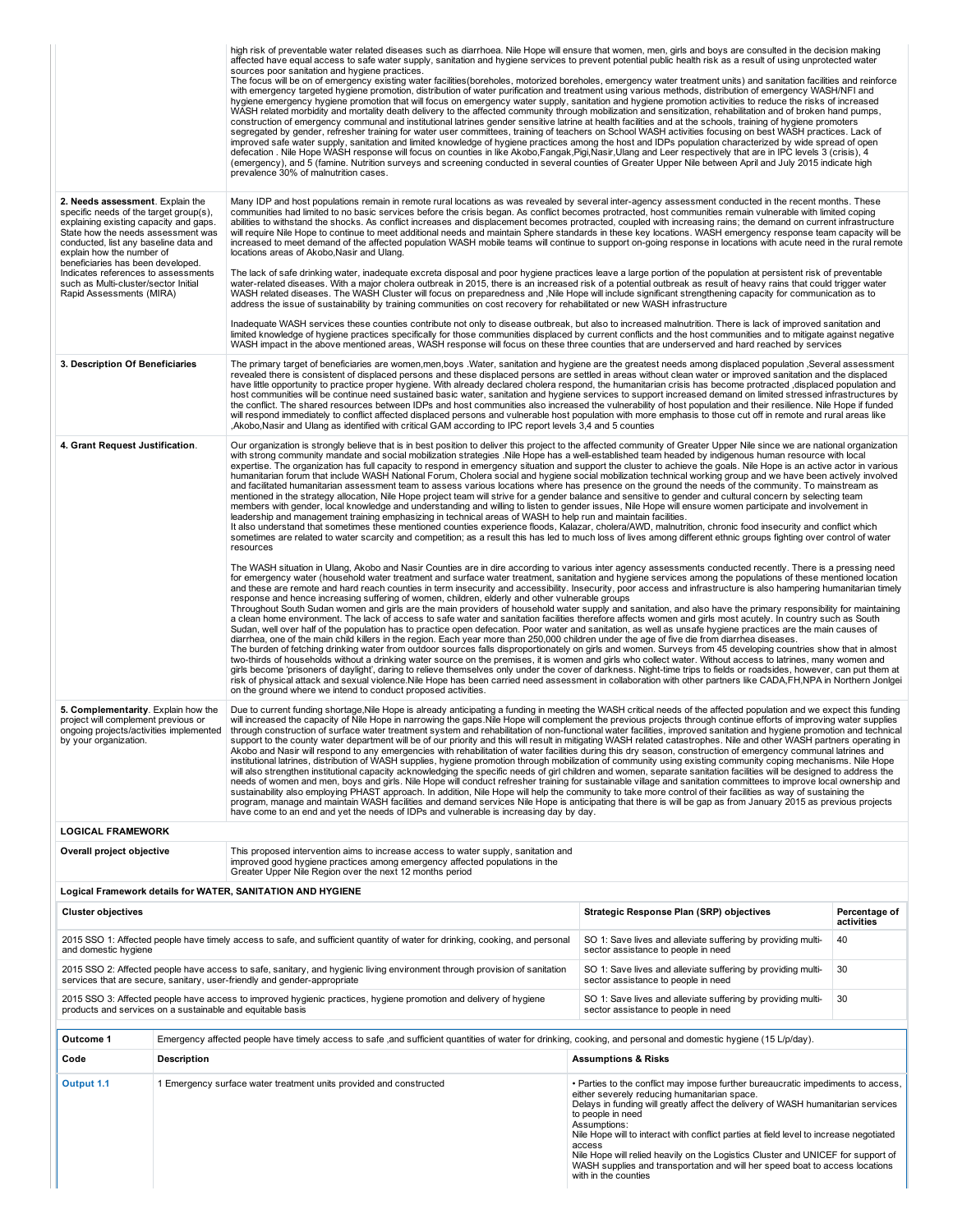|                                                                                                                                                                                                                                                                                                                                                                                  | high risk of preventable water related diseases such as diarrhoea. Nile Hope will ensure that women, men, girls and boys are consulted in the decision making<br>affected have equal access to safe water supply, sanitation and hygiene services to prevent potential public health risk as a result of using unprotected water<br>sources poor sanitation and hygiene practices.<br>The focus will be on of emergency existing water facilities (boreholes, motorized boreholes, emergency water treatment units) and sanitation facilities and reinforce<br>with emergency targeted hygiene promotion, distribution of water purification and treatment using various methods, distribution of emergency WASH/NFI and<br>hygiene emergency hygiene promotion that will focus on emergency water supply, sanitation and hygiene promotion activities to reduce the risks of increased<br>WASH related morbidity and mortality death delivery to the affected community through mobilization and sensitization, rehabilitation and of broken hand pumps,<br>construction of emergency communal and institutional latrines gender sensitive latrine at health facilities and at the schools, training of hygiene promoters<br>segregated by gender, refresher training for water user committees, training of teachers on School WASH activities focusing on best WASH practices. Lack of<br>improved safe water supply, sanitation and limited knowledge of hygiene practices among the host and IDPs population characterized by wide spread of open<br>defecation. Nile Hope WASH response will focus on counties in like Akobo, Fangak, Pigi, Nasir, Ulang and Leer respectively that are in IPC levels 3 (crisis), 4<br>(emergency), and 5 (famine. Nutrition surveys and screening conducted in several counties of Greater Upper Nile between April and July 2015 indicate high<br>prevalence 30% of malnutrition cases.                    |                                                                                                                                                                                                                                                                                                                                                                                                                                                                                                                                                           |                             |  |  |  |  |
|----------------------------------------------------------------------------------------------------------------------------------------------------------------------------------------------------------------------------------------------------------------------------------------------------------------------------------------------------------------------------------|----------------------------------------------------------------------------------------------------------------------------------------------------------------------------------------------------------------------------------------------------------------------------------------------------------------------------------------------------------------------------------------------------------------------------------------------------------------------------------------------------------------------------------------------------------------------------------------------------------------------------------------------------------------------------------------------------------------------------------------------------------------------------------------------------------------------------------------------------------------------------------------------------------------------------------------------------------------------------------------------------------------------------------------------------------------------------------------------------------------------------------------------------------------------------------------------------------------------------------------------------------------------------------------------------------------------------------------------------------------------------------------------------------------------------------------------------------------------------------------------------------------------------------------------------------------------------------------------------------------------------------------------------------------------------------------------------------------------------------------------------------------------------------------------------------------------------------------------------------------------------------------------------------------------------------------------------|-----------------------------------------------------------------------------------------------------------------------------------------------------------------------------------------------------------------------------------------------------------------------------------------------------------------------------------------------------------------------------------------------------------------------------------------------------------------------------------------------------------------------------------------------------------|-----------------------------|--|--|--|--|
| 2. Needs assessment. Explain the<br>specific needs of the target group(s),<br>explaining existing capacity and gaps.<br>State how the needs assessment was<br>conducted, list any baseline data and<br>explain how the number of<br>beneficiaries has been developed.<br>Indicates references to assessments<br>such as Multi-cluster/sector Initial<br>Rapid Assessments (MIRA) | Many IDP and host populations remain in remote rural locations as was revealed by several inter-agency assessment conducted in the recent months. These<br>communities had limited to no basic services before the crisis began. As conflict becomes protracted, host communities remain vulnerable with limited coping<br>abilities to withstand the shocks. As conflict increases and displacement becomes protracted, coupled with increasing rains; the demand on current infrastructure<br>will require Nile Hope to continue to meet additional needs and maintain Sphere standards in these key locations. WASH emergency response team capacity will be<br>increased to meet demand of the affected population WASH mobile teams will continue to support on-going response in locations with acute need in the rural remote<br>The lack of safe drinking water, inadequate excreta disposal and poor hygiene practices leave a large portion of the population at persistent risk of preventable<br>water-related diseases. With a major cholera outbreak in 2015, there is an increased risk of a potential outbreak as result of heavy rains that could trigger water<br>WASH related diseases. The WASH Cluster will focus on preparedness and ,Nile Hope will include significant strengthening capacity for communication as to<br>address the issue of sustainability by training communities on cost recovery for rehabilitated or new WASH infrastructure                                                                                                                                                                                                                                                                                                                                                                                                                                                                         |                                                                                                                                                                                                                                                                                                                                                                                                                                                                                                                                                           |                             |  |  |  |  |
|                                                                                                                                                                                                                                                                                                                                                                                  | Inadequate WASH services these counties contribute not only to disease outbreak, but also to increased malnutrition. There is lack of improved sanitation and<br>limited knowledge of hygiene practices specifically for those communities displaced by current conflicts and the host communities and to mitigate against negative<br>WASH impact in the above mentioned areas, WASH response will focus on these three counties that are underserved and hard reached by services                                                                                                                                                                                                                                                                                                                                                                                                                                                                                                                                                                                                                                                                                                                                                                                                                                                                                                                                                                                                                                                                                                                                                                                                                                                                                                                                                                                                                                                                |                                                                                                                                                                                                                                                                                                                                                                                                                                                                                                                                                           |                             |  |  |  |  |
| 3. Description Of Beneficiaries                                                                                                                                                                                                                                                                                                                                                  | The primary target of beneficiaries are women,men,boys .Water, sanitation and hygiene are the greatest needs among displaced population ,Several assessment<br>revealed there is consistent of displaced persons and these displaced persons are settled in areas without clean water or improved sanitation and the displaced<br>have little opportunity to practice proper hygiene. With already declared cholera respond, the humanitarian crisis has become protracted ,displaced population and<br>host communities will be continue need sustained basic water, sanitation and hygiene services to support increased demand on limited stressed infrastructures by<br>the conflict. The shared resources between IDPs and host communities also increased the vulnerability of host population and their resilience. Nile Hope if funded<br>will respond immediately to conflict affected displaced persons and vulnerable host population with more emphasis to those cut off in remote and rural areas like<br>Akobo, Nasir and Ulang as identified with critical GAM according to IPC report levels 3,4 and 5 counties                                                                                                                                                                                                                                                                                                                                                                                                                                                                                                                                                                                                                                                                                                                                                                                                                    |                                                                                                                                                                                                                                                                                                                                                                                                                                                                                                                                                           |                             |  |  |  |  |
| 4. Grant Request Justification.                                                                                                                                                                                                                                                                                                                                                  | Our organization is strongly believe that is in best position to deliver this project to the affected community of Greater Upper Nile since we are national organization<br>with strong community mandate and social mobilization strategies .Nile Hope has a well-established team headed by indigenous human resource with local<br>expertise. The organization has full capacity to respond in emergency situation and support the cluster to achieve the goals. Nile Hope is an active actor in various<br>humanitarian forum that include WASH National Forum, Cholera social and hygiene social mobilization technical working group and we have been actively involved<br>and facilitated humanitarian assessment team to assess various locations where has presence on the ground the needs of the community. To mainstream as<br>mentioned in the strategy allocation, Nile Hope project team will strive for a gender balance and sensitive to gender and cultural concern by selecting team<br>members with gender, local knowledge and understanding and willing to listen to gender issues, Nile Hope will ensure women participate and involvement in<br>leadership and management training emphasizing in technical areas of WASH to help run and maintain facilities.<br>It also understand that sometimes these mentioned counties experience floods, Kalazar, cholera/AWD, malnutrition, chronic food insecurity and conflict which<br>sometimes are related to water scarcity and competition; as a result this has led to much loss of lives among different ethnic groups fighting over control of water<br>resources                                                                                                                                                                                                                                                                                                        |                                                                                                                                                                                                                                                                                                                                                                                                                                                                                                                                                           |                             |  |  |  |  |
|                                                                                                                                                                                                                                                                                                                                                                                  | The WASH situation in Ulang, Akobo and Nasir Counties are in dire according to various inter agency assessments conducted recently. There is a pressing need<br>for emergency water (household water treatment and surface water treatment, sanitation and hygiene services among the populations of these mentioned location<br>and these are remote and hard reach counties in term insecurity and accessibility. Insecurity, poor access and infrastructure is also hampering humanitarian timely<br>response and hence increasing suffering of women, children, elderly and other vulnerable groups<br>Throughout South Sudan women and girls are the main providers of household water supply and sanitation, and also have the primary responsibility for maintaining<br>a clean home environment. The lack of access to safe water and sanitation facilities therefore affects women and girls most acutely. In country such as South<br>Sudan, well over half of the population has to practice open defecation. Poor water and sanitation, as well as unsafe hygiene practices are the main causes of<br>diarrhea, one of the main child killers in the region. Each year more than 250,000 children under the age of five die from diarrhea diseases.<br>The burden of fetching drinking water from outdoor sources falls disproportionately on girls and women. Surveys from 45 developing countries show that in almost<br>two-thirds of households without a drinking water source on the premises, it is women and girls who collect water. Without access to latrines, many women and<br>girls become 'prisoners of daylight', daring to relieve themselves only under the cover of darkness. Night-time trips to fields or roadsides, however, can put them at<br>risk of physical attack and sexual violence.Nile Hope has been carried need assessment in collaboration with other partners like CADA,FH,NPA in Northern Jonlgei |                                                                                                                                                                                                                                                                                                                                                                                                                                                                                                                                                           |                             |  |  |  |  |
| 5. Complementarity. Explain how the<br>project will complement previous or<br>ongoing projects/activities implemented<br>by your organization.                                                                                                                                                                                                                                   | Due to current funding shortage, Nile Hope is already anticipating a funding in meeting the WASH critical needs of the affected population and we expect this funding<br>will increased the capacity of Nile Hope in narrowing the gaps. Nile Hope will complement the previous projects through continue efforts of improving water supplies<br>through construction of surface water treatment system and rehabilitation of non-functional water facilities, improved sanitation and hygiene promotion and technical<br>support to the county water department will be of our priority and this will result in mitigating WASH related catastrophes. Nile and other WASH partners operating in<br>Akobo and Nasir will respond to any emergencies with rehabilitation of water facilities during this dry season, construction of emergency communal latrines and<br>institutional latrines, distribution of WASH supplies, hygiene promotion through mobilization of community using existing community coping mechanisms. Nile Hope<br>will also strengthen institutional capacity acknowledging the specific needs of girl children and women, separate sanitation facilities will be designed to address the<br>needs of women and men, boys and girls. Nile Hope will conduct refresher training for sustainable village and sanitation committees to improve local ownership and<br>sustainability also employing PHAST approach. In addition, Nile Hope will help the community to take more control of their facilities as way of sustaining the<br>program, manage and maintain WASH facilities and demand services Nile Hope is anticipating that there is will be gap as from January 2015 as previous projects<br>have come to an end and yet the needs of IDPs and vulnerable is increasing day by day.                                                                                                                             |                                                                                                                                                                                                                                                                                                                                                                                                                                                                                                                                                           |                             |  |  |  |  |
| <b>LOGICAL FRAMEWORK</b><br>Overall project objective                                                                                                                                                                                                                                                                                                                            | This proposed intervention aims to increase access to water supply, sanitation and                                                                                                                                                                                                                                                                                                                                                                                                                                                                                                                                                                                                                                                                                                                                                                                                                                                                                                                                                                                                                                                                                                                                                                                                                                                                                                                                                                                                                                                                                                                                                                                                                                                                                                                                                                                                                                                                 |                                                                                                                                                                                                                                                                                                                                                                                                                                                                                                                                                           |                             |  |  |  |  |
|                                                                                                                                                                                                                                                                                                                                                                                  | improved good hygiene practices among emergency affected populations in the<br>Greater Upper Nile Region over the next 12 months period                                                                                                                                                                                                                                                                                                                                                                                                                                                                                                                                                                                                                                                                                                                                                                                                                                                                                                                                                                                                                                                                                                                                                                                                                                                                                                                                                                                                                                                                                                                                                                                                                                                                                                                                                                                                            |                                                                                                                                                                                                                                                                                                                                                                                                                                                                                                                                                           |                             |  |  |  |  |
| Logical Framework details for WATER, SANITATION AND HYGIENE                                                                                                                                                                                                                                                                                                                      |                                                                                                                                                                                                                                                                                                                                                                                                                                                                                                                                                                                                                                                                                                                                                                                                                                                                                                                                                                                                                                                                                                                                                                                                                                                                                                                                                                                                                                                                                                                                                                                                                                                                                                                                                                                                                                                                                                                                                    |                                                                                                                                                                                                                                                                                                                                                                                                                                                                                                                                                           |                             |  |  |  |  |
| <b>Cluster objectives</b>                                                                                                                                                                                                                                                                                                                                                        |                                                                                                                                                                                                                                                                                                                                                                                                                                                                                                                                                                                                                                                                                                                                                                                                                                                                                                                                                                                                                                                                                                                                                                                                                                                                                                                                                                                                                                                                                                                                                                                                                                                                                                                                                                                                                                                                                                                                                    | <b>Strategic Response Plan (SRP) objectives</b>                                                                                                                                                                                                                                                                                                                                                                                                                                                                                                           | Percentage of<br>activities |  |  |  |  |
| and domestic hygiene                                                                                                                                                                                                                                                                                                                                                             | 2015 SSO 1: Affected people have timely access to safe, and sufficient quantity of water for drinking, cooking, and personal                                                                                                                                                                                                                                                                                                                                                                                                                                                                                                                                                                                                                                                                                                                                                                                                                                                                                                                                                                                                                                                                                                                                                                                                                                                                                                                                                                                                                                                                                                                                                                                                                                                                                                                                                                                                                       | SO 1: Save lives and alleviate suffering by providing multi-<br>sector assistance to people in need                                                                                                                                                                                                                                                                                                                                                                                                                                                       | 40                          |  |  |  |  |
| services that are secure, sanitary, user-friendly and gender-appropriate                                                                                                                                                                                                                                                                                                         | 2015 SSO 2: Affected people have access to safe, sanitary, and hygienic living environment through provision of sanitation                                                                                                                                                                                                                                                                                                                                                                                                                                                                                                                                                                                                                                                                                                                                                                                                                                                                                                                                                                                                                                                                                                                                                                                                                                                                                                                                                                                                                                                                                                                                                                                                                                                                                                                                                                                                                         | SO 1: Save lives and alleviate suffering by providing multi-<br>sector assistance to people in need                                                                                                                                                                                                                                                                                                                                                                                                                                                       | 30                          |  |  |  |  |
| products and services on a sustainable and equitable basis                                                                                                                                                                                                                                                                                                                       | 2015 SSO 3: Affected people have access to improved hygienic practices, hygiene promotion and delivery of hygiene                                                                                                                                                                                                                                                                                                                                                                                                                                                                                                                                                                                                                                                                                                                                                                                                                                                                                                                                                                                                                                                                                                                                                                                                                                                                                                                                                                                                                                                                                                                                                                                                                                                                                                                                                                                                                                  | SO 1: Save lives and alleviate suffering by providing multi-<br>sector assistance to people in need                                                                                                                                                                                                                                                                                                                                                                                                                                                       | 30                          |  |  |  |  |
| Outcome 1                                                                                                                                                                                                                                                                                                                                                                        | Emergency affected people have timely access to safe, and sufficient quantities of water for drinking, cooking, and personal and domestic hygiene (15 L/p/day).                                                                                                                                                                                                                                                                                                                                                                                                                                                                                                                                                                                                                                                                                                                                                                                                                                                                                                                                                                                                                                                                                                                                                                                                                                                                                                                                                                                                                                                                                                                                                                                                                                                                                                                                                                                    |                                                                                                                                                                                                                                                                                                                                                                                                                                                                                                                                                           |                             |  |  |  |  |
| Code<br><b>Description</b>                                                                                                                                                                                                                                                                                                                                                       |                                                                                                                                                                                                                                                                                                                                                                                                                                                                                                                                                                                                                                                                                                                                                                                                                                                                                                                                                                                                                                                                                                                                                                                                                                                                                                                                                                                                                                                                                                                                                                                                                                                                                                                                                                                                                                                                                                                                                    | <b>Assumptions &amp; Risks</b>                                                                                                                                                                                                                                                                                                                                                                                                                                                                                                                            |                             |  |  |  |  |
| Output 1.1                                                                                                                                                                                                                                                                                                                                                                       | 1 Emergency surface water treatment units provided and constructed                                                                                                                                                                                                                                                                                                                                                                                                                                                                                                                                                                                                                                                                                                                                                                                                                                                                                                                                                                                                                                                                                                                                                                                                                                                                                                                                                                                                                                                                                                                                                                                                                                                                                                                                                                                                                                                                                 | • Parties to the conflict may impose further bureaucratic impediments to access,<br>either severely reducing humanitarian space.<br>Delays in funding will greatly affect the delivery of WASH humanitarian services<br>to people in need<br>Assumptions:<br>Nile Hope will to interact with conflict parties at field level to increase negotiated<br>access<br>Nile Hope will relied heavily on the Logistics Cluster and UNICEF for support of<br>WASH supplies and transportation and will her speed boat to access locations<br>with in the counties |                             |  |  |  |  |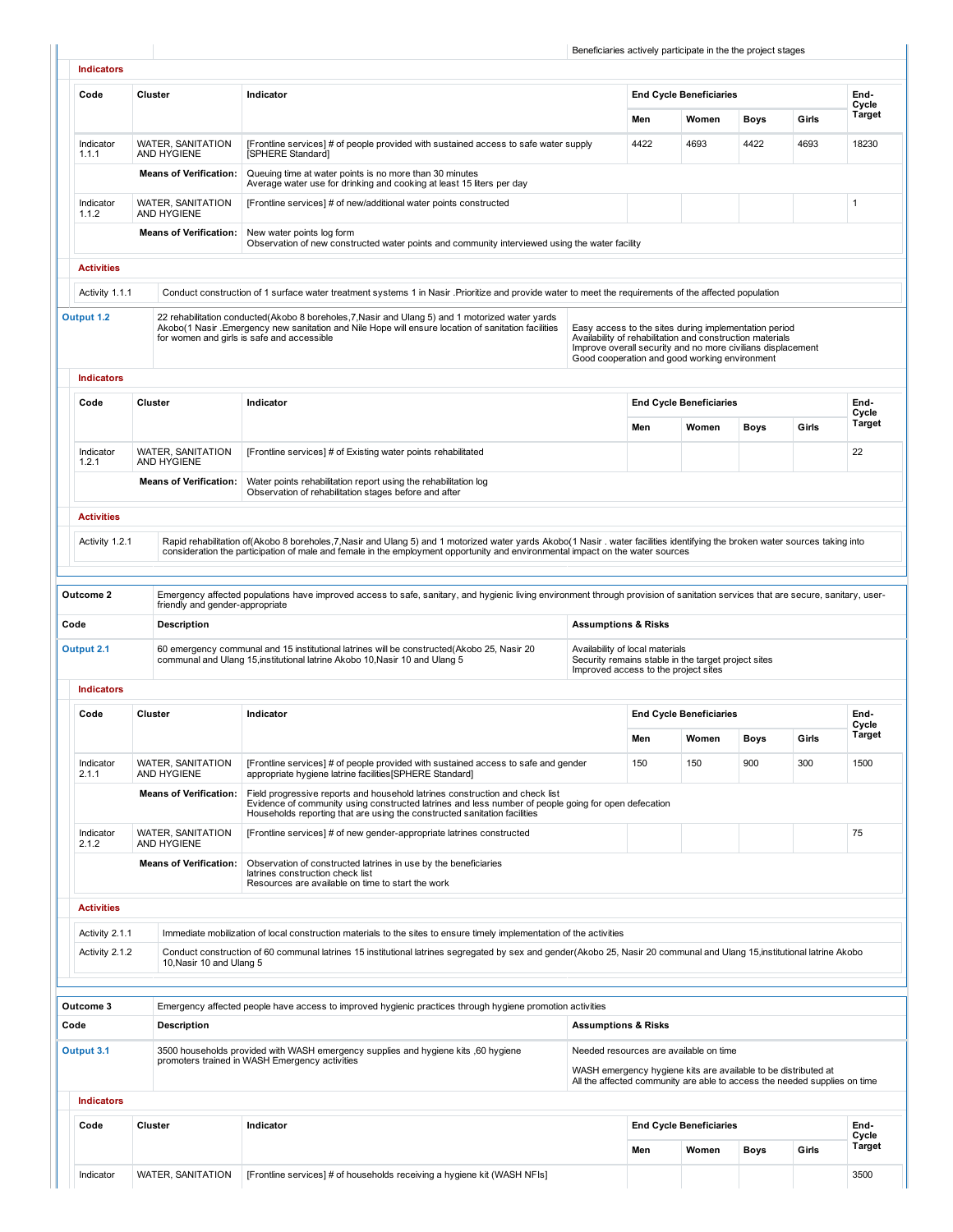|                    |         |                                                       |                                                                                                                                                                                                                                                                                                                  |                                      |      | Beneficiaries actively participate in the the project stages                                                                                                                                                                       |             |       |                 |  |
|--------------------|---------|-------------------------------------------------------|------------------------------------------------------------------------------------------------------------------------------------------------------------------------------------------------------------------------------------------------------------------------------------------------------------------|--------------------------------------|------|------------------------------------------------------------------------------------------------------------------------------------------------------------------------------------------------------------------------------------|-------------|-------|-----------------|--|
| <b>Indicators</b>  |         |                                                       |                                                                                                                                                                                                                                                                                                                  |                                      |      |                                                                                                                                                                                                                                    |             |       |                 |  |
| Code               | Cluster |                                                       | Indicator                                                                                                                                                                                                                                                                                                        |                                      |      | <b>End Cycle Beneficiaries</b>                                                                                                                                                                                                     |             |       | End-            |  |
|                    |         |                                                       |                                                                                                                                                                                                                                                                                                                  |                                      | Men  | Women                                                                                                                                                                                                                              | Boys        | Girls | Cycle<br>Target |  |
| Indicator<br>1.1.1 |         | WATER, SANITATION<br>AND HYGIENE                      | [Frontline services] # of people provided with sustained access to safe water supply<br>[SPHERE Standard]                                                                                                                                                                                                        |                                      | 4422 | 4693                                                                                                                                                                                                                               | 4422        | 4693  | 18230           |  |
|                    |         | <b>Means of Verification:</b>                         | Queuing time at water points is no more than 30 minutes<br>Average water use for drinking and cooking at least 15 liters per day                                                                                                                                                                                 |                                      |      |                                                                                                                                                                                                                                    |             |       |                 |  |
| Indicator<br>1.1.2 |         | <b>WATER, SANITATION</b><br>AND HYGIENE               | [Frontline services] # of new/additional water points constructed                                                                                                                                                                                                                                                |                                      |      |                                                                                                                                                                                                                                    |             |       | $\mathbf{1}$    |  |
|                    |         | <b>Means of Verification:</b>                         | New water points log form<br>Observation of new constructed water points and community interviewed using the water facility                                                                                                                                                                                      |                                      |      |                                                                                                                                                                                                                                    |             |       |                 |  |
| <b>Activities</b>  |         |                                                       |                                                                                                                                                                                                                                                                                                                  |                                      |      |                                                                                                                                                                                                                                    |             |       |                 |  |
| Activity 1.1.1     |         |                                                       | Conduct construction of 1 surface water treatment systems 1 in Nasir .Prioritize and provide water to meet the requirements of the affected population                                                                                                                                                           |                                      |      |                                                                                                                                                                                                                                    |             |       |                 |  |
| Output 1.2         |         |                                                       | 22 rehabilitation conducted(Akobo 8 boreholes, 7, Nasir and Ulang 5) and 1 motorized water yards<br>Akobo(1 Nasir . Emergency new sanitation and Nile Hope will ensure location of sanitation facilities<br>for women and girls is safe and accessible                                                           |                                      |      | Easy access to the sites during implementation period<br>Availability of rehabilitation and construction materials<br>Improve overall security and no more civilians displacement<br>Good cooperation and good working environment |             |       |                 |  |
| <b>Indicators</b>  |         |                                                       |                                                                                                                                                                                                                                                                                                                  |                                      |      |                                                                                                                                                                                                                                    |             |       |                 |  |
| Code               | Cluster |                                                       | Indicator                                                                                                                                                                                                                                                                                                        |                                      |      | <b>End Cycle Beneficiaries</b>                                                                                                                                                                                                     |             |       | End-<br>Cycle   |  |
|                    |         |                                                       |                                                                                                                                                                                                                                                                                                                  |                                      | Men  | Women                                                                                                                                                                                                                              | Boys        | Girls | <b>Target</b>   |  |
| Indicator<br>1.2.1 |         | <b>WATER, SANITATION</b><br><b>AND HYGIENE</b>        | [Frontline services] # of Existing water points rehabilitated                                                                                                                                                                                                                                                    |                                      |      |                                                                                                                                                                                                                                    |             |       | 22              |  |
|                    |         | <b>Means of Verification:</b>                         | Water points rehabilitation report using the rehabilitation log<br>Observation of rehabilitation stages before and after                                                                                                                                                                                         |                                      |      |                                                                                                                                                                                                                                    |             |       |                 |  |
| <b>Activities</b>  |         |                                                       |                                                                                                                                                                                                                                                                                                                  |                                      |      |                                                                                                                                                                                                                                    |             |       |                 |  |
| Activity 1.2.1     |         |                                                       | Rapid rehabilitation of(Akobo 8 boreholes, 7, Nasir and Ulang 5) and 1 motorized water yards Akobo(1 Nasir . water facilities identifying the broken water sources taking into<br>consideration the participation of male and female in the employment opportunity and environmental impact on the water sources |                                      |      |                                                                                                                                                                                                                                    |             |       |                 |  |
| Outcome 2          |         |                                                       | Emergency affected populations have improved access to safe, sanitary, and hygienic living environment through provision of sanitation services that are secure, sanitary, user-                                                                                                                                 |                                      |      |                                                                                                                                                                                                                                    |             |       |                 |  |
| Code               |         | friendly and gender-appropriate<br><b>Description</b> |                                                                                                                                                                                                                                                                                                                  | <b>Assumptions &amp; Risks</b>       |      |                                                                                                                                                                                                                                    |             |       |                 |  |
| Output 2.1         |         |                                                       | 60 emergency communal and 15 institutional latrines will be constructed(Akobo 25, Nasir 20                                                                                                                                                                                                                       | Availability of local materials      |      |                                                                                                                                                                                                                                    |             |       |                 |  |
|                    |         |                                                       | communal and Ulang 15, institutional latrine Akobo 10, Nasir 10 and Ulang 5                                                                                                                                                                                                                                      | Improved access to the project sites |      | Security remains stable in the target project sites                                                                                                                                                                                |             |       |                 |  |
| <b>Indicators</b>  |         |                                                       |                                                                                                                                                                                                                                                                                                                  |                                      |      |                                                                                                                                                                                                                                    |             |       |                 |  |
| Code               | Cluster |                                                       | Indicator                                                                                                                                                                                                                                                                                                        |                                      |      | <b>End Cycle Beneficiaries</b>                                                                                                                                                                                                     |             |       | End-<br>Cycle   |  |
|                    |         |                                                       |                                                                                                                                                                                                                                                                                                                  |                                      | Men  | Women                                                                                                                                                                                                                              | <b>Boys</b> | Girls | <b>Target</b>   |  |
| Indicator<br>2.1.1 |         | <b>WATER, SANITATION</b><br>AND HYGIENE               | [Frontline services] # of people provided with sustained access to safe and gender<br>appropriate hygiene latrine facilities [SPHERE Standard]                                                                                                                                                                   |                                      | 150  | 150                                                                                                                                                                                                                                | 900         | 300   | 1500            |  |
|                    |         | <b>Means of Verification:</b>                         | Field progressive reports and household latrines construction and check list<br>Evidence of community using constructed latrines and less number of people going for open defecation<br>Households reporting that are using the constructed sanitation facilities                                                |                                      |      |                                                                                                                                                                                                                                    |             |       |                 |  |
| Indicator<br>2.1.2 |         | <b>WATER, SANITATION</b><br>AND HYGIENE               | [Frontline services] # of new gender-appropriate latrines constructed                                                                                                                                                                                                                                            |                                      |      |                                                                                                                                                                                                                                    |             |       | 75              |  |
|                    |         | <b>Means of Verification:</b>                         | Observation of constructed latrines in use by the beneficiaries<br>latrines construction check list<br>Resources are available on time to start the work                                                                                                                                                         |                                      |      |                                                                                                                                                                                                                                    |             |       |                 |  |
| <b>Activities</b>  |         |                                                       |                                                                                                                                                                                                                                                                                                                  |                                      |      |                                                                                                                                                                                                                                    |             |       |                 |  |
| Activity 2.1.1     |         |                                                       | Immediate mobilization of local construction materials to the sites to ensure timely implementation of the activities                                                                                                                                                                                            |                                      |      |                                                                                                                                                                                                                                    |             |       |                 |  |
| Activity 2.1.2     |         | 10, Nasir 10 and Ulang 5                              | Conduct construction of 60 communal latrines 15 institutional latrines segregated by sex and gender(Akobo 25, Nasir 20 communal and Ulang 15, institutional latrine Akobo                                                                                                                                        |                                      |      |                                                                                                                                                                                                                                    |             |       |                 |  |
|                    |         |                                                       |                                                                                                                                                                                                                                                                                                                  |                                      |      |                                                                                                                                                                                                                                    |             |       |                 |  |
| Outcome 3<br>Code  |         | <b>Description</b>                                    | Emergency affected people have access to improved hygienic practices through hygiene promotion activities                                                                                                                                                                                                        | <b>Assumptions &amp; Risks</b>       |      |                                                                                                                                                                                                                                    |             |       |                 |  |
| Output 3.1         |         |                                                       | 3500 households provided with WASH emergency supplies and hygiene kits, 60 hygiene                                                                                                                                                                                                                               |                                      |      | Needed resources are available on time                                                                                                                                                                                             |             |       |                 |  |
|                    |         |                                                       | promoters trained in WASH Emergency activities                                                                                                                                                                                                                                                                   |                                      |      | WASH emergency hygiene kits are available to be distributed at<br>All the affected community are able to access the needed supplies on time                                                                                        |             |       |                 |  |
| <b>Indicators</b>  |         |                                                       |                                                                                                                                                                                                                                                                                                                  |                                      |      |                                                                                                                                                                                                                                    |             |       |                 |  |
| Code               | Cluster |                                                       | Indicator                                                                                                                                                                                                                                                                                                        |                                      |      | <b>End Cycle Beneficiaries</b>                                                                                                                                                                                                     |             |       | End-            |  |
|                    |         |                                                       |                                                                                                                                                                                                                                                                                                                  |                                      | Men  | Women                                                                                                                                                                                                                              |             |       | Cycle<br>Target |  |
|                    |         |                                                       |                                                                                                                                                                                                                                                                                                                  |                                      |      |                                                                                                                                                                                                                                    | Boys        | Girls |                 |  |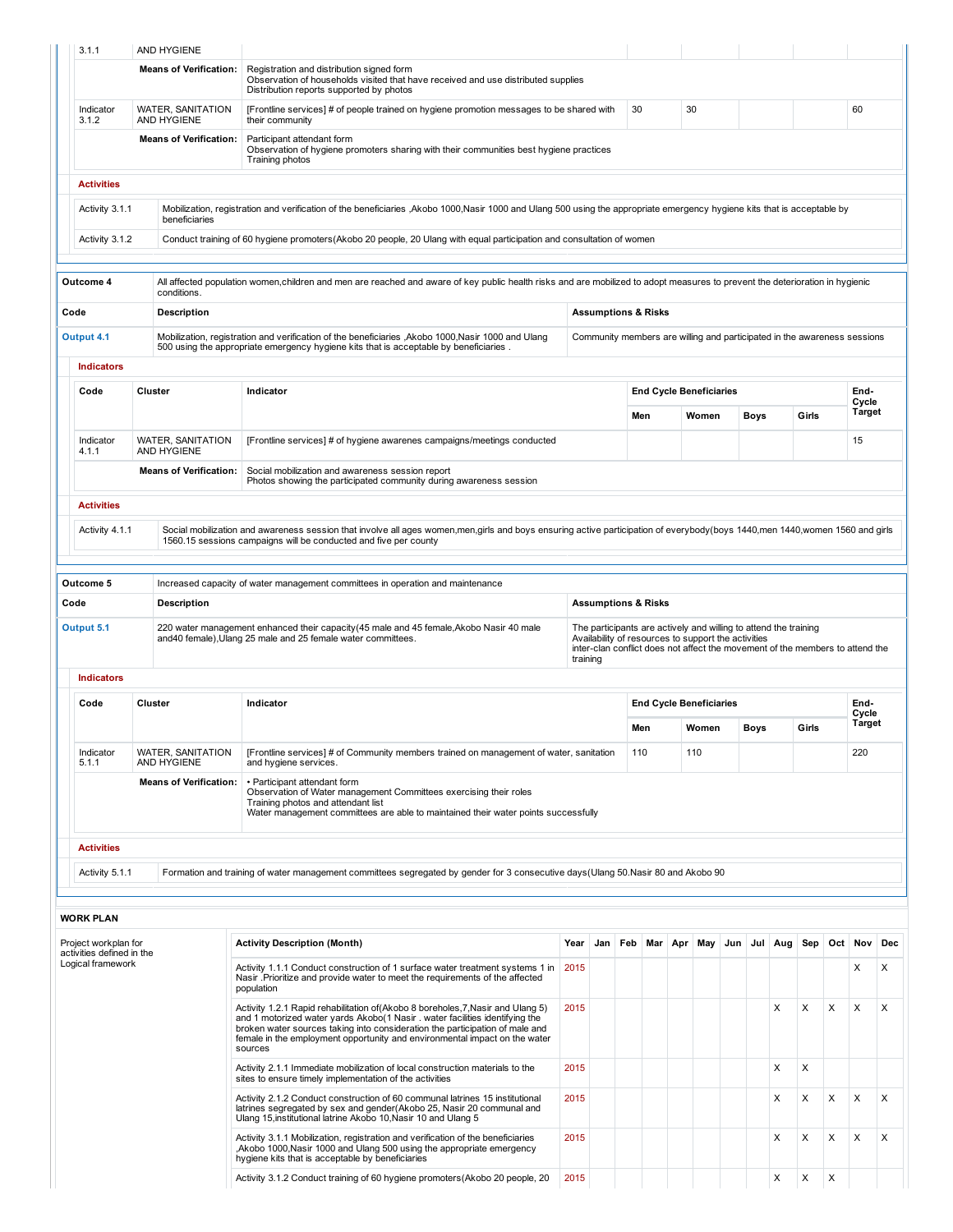| 3.1.1                                                                                                                                                                                                                 |         | AND HYGIENE                             |                                                                                                                                                                                                                                                                                                                                           |          |     |                                |                                |                                                                                                                                                                                                          |               |     |         |   |       |   |               |     |
|-----------------------------------------------------------------------------------------------------------------------------------------------------------------------------------------------------------------------|---------|-----------------------------------------|-------------------------------------------------------------------------------------------------------------------------------------------------------------------------------------------------------------------------------------------------------------------------------------------------------------------------------------------|----------|-----|--------------------------------|--------------------------------|----------------------------------------------------------------------------------------------------------------------------------------------------------------------------------------------------------|---------------|-----|---------|---|-------|---|---------------|-----|
|                                                                                                                                                                                                                       |         | <b>Means of Verification:</b>           | Registration and distribution signed form<br>Observation of households visited that have received and use distributed supplies<br>Distribution reports supported by photos                                                                                                                                                                |          |     |                                |                                |                                                                                                                                                                                                          |               |     |         |   |       |   |               |     |
| Indicator<br>3.1.2                                                                                                                                                                                                    |         | <b>WATER, SANITATION</b><br>AND HYGIENE | [Frontline services] # of people trained on hygiene promotion messages to be shared with<br>their community                                                                                                                                                                                                                               |          |     | 30                             |                                | 30                                                                                                                                                                                                       |               |     |         |   |       |   | 60            |     |
|                                                                                                                                                                                                                       |         | <b>Means of Verification:</b>           | Participant attendant form<br>Observation of hygiene promoters sharing with their communities best hygiene practices<br>Training photos                                                                                                                                                                                                   |          |     |                                |                                |                                                                                                                                                                                                          |               |     |         |   |       |   |               |     |
| <b>Activities</b>                                                                                                                                                                                                     |         |                                         |                                                                                                                                                                                                                                                                                                                                           |          |     |                                |                                |                                                                                                                                                                                                          |               |     |         |   |       |   |               |     |
| Activity 3.1.1                                                                                                                                                                                                        |         | beneficiaries                           | Mobilization, registration and verification of the beneficiaries ,Akobo 1000,Nasir 1000 and Ulang 500 using the appropriate emergency hygiene kits that is acceptable by                                                                                                                                                                  |          |     |                                |                                |                                                                                                                                                                                                          |               |     |         |   |       |   |               |     |
| Activity 3.1.2                                                                                                                                                                                                        |         |                                         | Conduct training of 60 hygiene promoters (Akobo 20 people, 20 Ulang with equal participation and consultation of women                                                                                                                                                                                                                    |          |     |                                |                                |                                                                                                                                                                                                          |               |     |         |   |       |   |               |     |
| Outcome 4                                                                                                                                                                                                             |         | conditions.                             | All affected population women, children and men are reached and aware of key public health risks and are mobilized to adopt measures to prevent the deterioration in hygienic                                                                                                                                                             |          |     |                                |                                |                                                                                                                                                                                                          |               |     |         |   |       |   |               |     |
| Code                                                                                                                                                                                                                  |         | <b>Description</b>                      |                                                                                                                                                                                                                                                                                                                                           |          |     | <b>Assumptions &amp; Risks</b> |                                |                                                                                                                                                                                                          |               |     |         |   |       |   |               |     |
| Output 4.1                                                                                                                                                                                                            |         |                                         | Mobilization, registration and verification of the beneficiaries, Akobo 1000, Nasir 1000 and Ulang<br>500 using the appropriate emergency hygiene kits that is acceptable by beneficiaries.                                                                                                                                               |          |     |                                |                                | Community members are willing and participated in the awareness sessions                                                                                                                                 |               |     |         |   |       |   |               |     |
| <b>Indicators</b>                                                                                                                                                                                                     |         |                                         |                                                                                                                                                                                                                                                                                                                                           |          |     |                                |                                |                                                                                                                                                                                                          |               |     |         |   |       |   |               |     |
| Code                                                                                                                                                                                                                  | Cluster |                                         | Indicator                                                                                                                                                                                                                                                                                                                                 |          |     |                                |                                | <b>End Cycle Beneficiaries</b>                                                                                                                                                                           |               |     |         |   |       |   | End-<br>Cycle |     |
|                                                                                                                                                                                                                       |         |                                         |                                                                                                                                                                                                                                                                                                                                           |          |     | Men                            |                                | Women                                                                                                                                                                                                    |               |     | Boys    |   | Girls |   | Target        |     |
| Indicator<br>4.1.1                                                                                                                                                                                                    |         | <b>WATER, SANITATION</b><br>AND HYGIENE | [Frontline services] # of hygiene awarenes campaigns/meetings conducted                                                                                                                                                                                                                                                                   |          |     |                                |                                |                                                                                                                                                                                                          |               |     |         |   |       |   | 15            |     |
|                                                                                                                                                                                                                       |         | <b>Means of Verification:</b>           | Social mobilization and awareness session report<br>Photos showing the participated community during awareness session                                                                                                                                                                                                                    |          |     |                                |                                |                                                                                                                                                                                                          |               |     |         |   |       |   |               |     |
| <b>Activities</b>                                                                                                                                                                                                     |         |                                         |                                                                                                                                                                                                                                                                                                                                           |          |     |                                |                                |                                                                                                                                                                                                          |               |     |         |   |       |   |               |     |
| Activity 4.1.1                                                                                                                                                                                                        |         |                                         | Social mobilization and awareness session that involve all ages women,men,girls and boys ensuring active participation of everybody(boys 1440,men 1440,women 1560 and girls<br>1560.15 sessions campaigns will be conducted and five per county                                                                                           |          |     |                                |                                |                                                                                                                                                                                                          |               |     |         |   |       |   |               |     |
|                                                                                                                                                                                                                       |         |                                         |                                                                                                                                                                                                                                                                                                                                           |          |     |                                |                                |                                                                                                                                                                                                          |               |     |         |   |       |   |               |     |
| Outcome 5                                                                                                                                                                                                             |         |                                         | Increased capacity of water management committees in operation and maintenance                                                                                                                                                                                                                                                            |          |     |                                |                                |                                                                                                                                                                                                          |               |     |         |   |       |   |               |     |
| Code                                                                                                                                                                                                                  |         | <b>Description</b>                      |                                                                                                                                                                                                                                                                                                                                           |          |     | <b>Assumptions &amp; Risks</b> |                                |                                                                                                                                                                                                          |               |     |         |   |       |   |               |     |
| Output 5.1                                                                                                                                                                                                            |         |                                         | 220 water management enhanced their capacity (45 male and 45 female, Akobo Nasir 40 male<br>and 40 female), Ulang 25 male and 25 female water committees.                                                                                                                                                                                 | training |     |                                |                                | The participants are actively and willing to attend the training<br>Availability of resources to support the activities<br>inter-clan conflict does not affect the movement of the members to attend the |               |     |         |   |       |   |               |     |
| <b>Indicators</b>                                                                                                                                                                                                     |         |                                         |                                                                                                                                                                                                                                                                                                                                           |          |     |                                |                                |                                                                                                                                                                                                          |               |     |         |   |       |   |               |     |
| Code                                                                                                                                                                                                                  | Cluster |                                         | Indicator                                                                                                                                                                                                                                                                                                                                 |          |     |                                | <b>End Cycle Beneficiaries</b> |                                                                                                                                                                                                          |               |     |         |   |       |   | End-<br>Cycle |     |
|                                                                                                                                                                                                                       |         |                                         |                                                                                                                                                                                                                                                                                                                                           | Men      |     |                                |                                |                                                                                                                                                                                                          | Women<br>Boys |     |         |   | Girls |   | Target        |     |
| Indicator<br>5.1.1                                                                                                                                                                                                    |         | WATER, SANITATION<br><b>AND HYGIENE</b> | [Frontline services] # of Community members trained on management of water, sanitation<br>and hygiene services.                                                                                                                                                                                                                           |          |     | 110                            |                                | 110                                                                                                                                                                                                      |               |     |         |   |       |   | 220           |     |
|                                                                                                                                                                                                                       |         | <b>Means of Verification:</b>           | • Participant attendant form<br>Observation of Water management Committees exercising their roles<br>Training photos and attendant list<br>Water management committees are able to maintained their water points successfully                                                                                                             |          |     |                                |                                |                                                                                                                                                                                                          |               |     |         |   |       |   |               |     |
| <b>Activities</b>                                                                                                                                                                                                     |         |                                         |                                                                                                                                                                                                                                                                                                                                           |          |     |                                |                                |                                                                                                                                                                                                          |               |     |         |   |       |   |               |     |
| Activity 5.1.1                                                                                                                                                                                                        |         |                                         | Formation and training of water management committees segregated by gender for 3 consecutive days (Ulang 50. Nasir 80 and Akobo 90                                                                                                                                                                                                        |          |     |                                |                                |                                                                                                                                                                                                          |               |     |         |   |       |   |               |     |
| <b>WORK PLAN</b>                                                                                                                                                                                                      |         |                                         |                                                                                                                                                                                                                                                                                                                                           |          |     |                                |                                |                                                                                                                                                                                                          |               |     |         |   |       |   |               |     |
| Project workplan for<br>activities defined in the                                                                                                                                                                     |         |                                         | <b>Activity Description (Month)</b>                                                                                                                                                                                                                                                                                                       | Year     | Jan |                                | Feb Mar Apr                    |                                                                                                                                                                                                          | May           | Jun | Jul Aug |   | Sep   |   | Oct Nov       | Dec |
| Logical framework                                                                                                                                                                                                     |         |                                         | Activity 1.1.1 Conduct construction of 1 surface water treatment systems 1 in<br>Nasir .Prioritize and provide water to meet the requirements of the affected<br>population                                                                                                                                                               | 2015     |     |                                |                                |                                                                                                                                                                                                          |               |     |         |   |       |   | Х             | X   |
|                                                                                                                                                                                                                       |         |                                         | Activity 1.2.1 Rapid rehabilitation of (Akobo 8 boreholes, 7, Nasir and Ulang 5)<br>and 1 motorized water yards Akobo(1 Nasir . water facilities identifying the<br>broken water sources taking into consideration the participation of male and<br>female in the employment opportunity and environmental impact on the water<br>sources | 2015     |     |                                |                                |                                                                                                                                                                                                          |               |     |         | X | X     | X | X             | X   |
|                                                                                                                                                                                                                       |         |                                         | Activity 2.1.1 Immediate mobilization of local construction materials to the<br>sites to ensure timely implementation of the activities                                                                                                                                                                                                   | 2015     |     |                                |                                |                                                                                                                                                                                                          |               |     |         | Х | X     |   |               |     |
|                                                                                                                                                                                                                       |         |                                         | Activity 2.1.2 Conduct construction of 60 communal latrines 15 institutional<br>latrines segregated by sex and gender(Akobo 25, Nasir 20 communal and<br>Ulang 15, institutional latrine Akobo 10, Nasir 10 and Ulang 5                                                                                                                   | 2015     |     |                                |                                |                                                                                                                                                                                                          |               |     |         | Х | X     | X | X             | X   |
| Activity 3.1.1 Mobilization, registration and verification of the beneficiaries<br>2015<br>, Akobo 1000, Nasir 1000 and Ulang 500 using the appropriate emergency<br>hygiene kits that is acceptable by beneficiaries |         |                                         |                                                                                                                                                                                                                                                                                                                                           |          |     |                                |                                |                                                                                                                                                                                                          |               |     |         | X | X     | X | X             | X   |
|                                                                                                                                                                                                                       |         |                                         |                                                                                                                                                                                                                                                                                                                                           |          |     |                                |                                |                                                                                                                                                                                                          |               |     |         |   |       |   |               |     |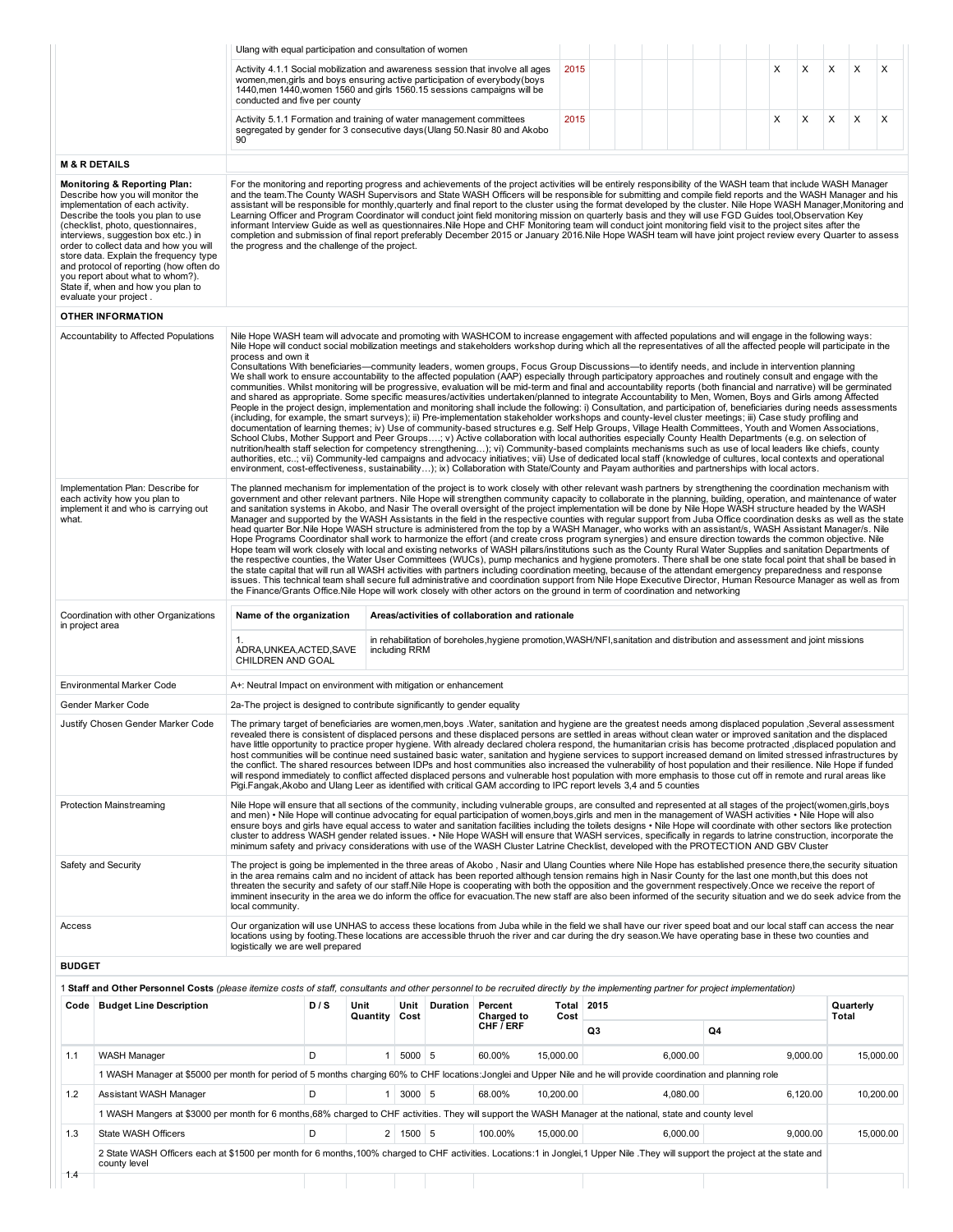|                                    |                                                                                                                                                                                                                                                                                                                                                                                                                                                                        | Ulang with equal participation and consultation of women                                                                                                                                                                                                                                                                                                                                                                                                                                                                                                                                                                                                                                                                                                                                                                                                                                                                                                                                                                                                                                                                                                                                                                                                                                                                                                                                                                                                                                                                                                                                                                                                                                                                                                                                                                                                                                                                                                                                                                                                                                                                                                             |     |              |                      |                  |                                                                                                                            |                   |    |          |    |   |          |           |                                     |
|------------------------------------|------------------------------------------------------------------------------------------------------------------------------------------------------------------------------------------------------------------------------------------------------------------------------------------------------------------------------------------------------------------------------------------------------------------------------------------------------------------------|----------------------------------------------------------------------------------------------------------------------------------------------------------------------------------------------------------------------------------------------------------------------------------------------------------------------------------------------------------------------------------------------------------------------------------------------------------------------------------------------------------------------------------------------------------------------------------------------------------------------------------------------------------------------------------------------------------------------------------------------------------------------------------------------------------------------------------------------------------------------------------------------------------------------------------------------------------------------------------------------------------------------------------------------------------------------------------------------------------------------------------------------------------------------------------------------------------------------------------------------------------------------------------------------------------------------------------------------------------------------------------------------------------------------------------------------------------------------------------------------------------------------------------------------------------------------------------------------------------------------------------------------------------------------------------------------------------------------------------------------------------------------------------------------------------------------------------------------------------------------------------------------------------------------------------------------------------------------------------------------------------------------------------------------------------------------------------------------------------------------------------------------------------------------|-----|--------------|----------------------|------------------|----------------------------------------------------------------------------------------------------------------------------|-------------------|----|----------|----|---|----------|-----------|-------------------------------------|
|                                    |                                                                                                                                                                                                                                                                                                                                                                                                                                                                        | Activity 4.1.1 Social mobilization and awareness session that involve all ages<br>women, men, girls and boys ensuring active participation of everybody (boys<br>1440, men 1440, women 1560 and girls 1560.15 sessions campaigns will be<br>conducted and five per county                                                                                                                                                                                                                                                                                                                                                                                                                                                                                                                                                                                                                                                                                                                                                                                                                                                                                                                                                                                                                                                                                                                                                                                                                                                                                                                                                                                                                                                                                                                                                                                                                                                                                                                                                                                                                                                                                            |     |              |                      |                  |                                                                                                                            | 2015              |    |          |    | X | X        | X<br>X    | X                                   |
|                                    |                                                                                                                                                                                                                                                                                                                                                                                                                                                                        | Activity 5.1.1 Formation and training of water management committees<br>segregated by gender for 3 consecutive days (Ulang 50 Nasir 80 and Akobo<br>90                                                                                                                                                                                                                                                                                                                                                                                                                                                                                                                                                                                                                                                                                                                                                                                                                                                                                                                                                                                                                                                                                                                                                                                                                                                                                                                                                                                                                                                                                                                                                                                                                                                                                                                                                                                                                                                                                                                                                                                                               |     |              |                      |                  |                                                                                                                            | 2015              |    |          |    | X | X        | X<br>X    | X                                   |
|                                    | <b>M &amp; R DETAILS</b>                                                                                                                                                                                                                                                                                                                                                                                                                                               |                                                                                                                                                                                                                                                                                                                                                                                                                                                                                                                                                                                                                                                                                                                                                                                                                                                                                                                                                                                                                                                                                                                                                                                                                                                                                                                                                                                                                                                                                                                                                                                                                                                                                                                                                                                                                                                                                                                                                                                                                                                                                                                                                                      |     |              |                      |                  |                                                                                                                            |                   |    |          |    |   |          |           |                                     |
|                                    | <b>Monitoring &amp; Reporting Plan:</b><br>Describe how you will monitor the<br>implementation of each activity.<br>Describe the tools you plan to use<br>(checklist, photo, questionnaires,<br>interviews, suggestion box etc.) in<br>order to collect data and how you will<br>store data. Explain the frequency type<br>and protocol of reporting (how often do<br>you report about what to whom?).<br>State if, when and how you plan to<br>evaluate your project. | For the monitoring and reporting progress and achievements of the project activities will be entirely responsibility of the WASH team that include WASH Manager<br>and the team. The County WASH Supervisors and State WASH Officers will be responsible for submitting and compile field reports and the WASH Manager and his<br>assistant will be responsible for monthly, quarterly and final report to the cluster using the format developed by the cluster. Nile Hope WASH Manager, Monitoring and<br>Learning Officer and Program Coordinator will conduct joint field monitoring mission on quarterly basis and they will use FGD Guides tool, Observation Key<br>informant Interview Guide as well as questionnaires. Nile Hope and CHF Monitoring team will conduct joint monitoring field visit to the project sites after the<br>completion and submission of final report preferably December 2015 or January 2016.Nile Hope WASH team will have joint project review every Quarter to assess<br>the progress and the challenge of the project.                                                                                                                                                                                                                                                                                                                                                                                                                                                                                                                                                                                                                                                                                                                                                                                                                                                                                                                                                                                                                                                                                                         |     |              |                      |                  |                                                                                                                            |                   |    |          |    |   |          |           |                                     |
|                                    | <b>OTHER INFORMATION</b>                                                                                                                                                                                                                                                                                                                                                                                                                                               |                                                                                                                                                                                                                                                                                                                                                                                                                                                                                                                                                                                                                                                                                                                                                                                                                                                                                                                                                                                                                                                                                                                                                                                                                                                                                                                                                                                                                                                                                                                                                                                                                                                                                                                                                                                                                                                                                                                                                                                                                                                                                                                                                                      |     |              |                      |                  |                                                                                                                            |                   |    |          |    |   |          |           |                                     |
|                                    | Accountability to Affected Populations                                                                                                                                                                                                                                                                                                                                                                                                                                 | Nile Hope WASH team will advocate and promoting with WASHCOM to increase engagement with affected populations and will engage in the following ways:<br>Nile Hope will conduct social mobilization meetings and stakeholders workshop during which all the representatives of all the affected people will participate in the<br>process and own it<br>Consultations With beneficiaries—community leaders, women groups, Focus Group Discussions—to identify needs, and include in intervention planning<br>We shall work to ensure accountability to the affected population (AAP) especially through participatory approaches and routinely consult and engage with the<br>communities. Whilst monitoring will be progressive, evaluation will be mid-term and final and accountability reports (both financial and narrative) will be germinated<br>and shared as appropriate. Some specific measures/activities undertaken/planned to integrate Accountability to Men, Women, Boys and Girls among Affected<br>People in the project design, implementation and monitoring shall include the following: i) Consultation, and participation of, beneficiaries during needs assessments<br>(including, for example, the smart surveys); ii) Pre-implementation stakeholder workshops and county-level cluster meetings; iii) Case study profiling and<br>documentation of learning themes; iv) Use of community-based structures e.g. Self Help Groups, Village Health Committees, Youth and Women Associations,<br>School Clubs, Mother Support and Peer Groups; v) Active collaboration with local authorities especially County Health Departments (e.g. on selection of<br>nutrition/health staff selection for competency strengthening); vi) Community-based complaints mechanisms such as use of local leaders like chiefs, county<br>authorities, etc; vii) Community-led campaigns and advocacy initiatives; viii) Use of dedicated local staff (knowledge of cultures, local contexts and operational<br>environment, cost-effectiveness, sustainability); ix) Collaboration with State/County and Payam authorities and partnerships with local actors. |     |              |                      |                  |                                                                                                                            |                   |    |          |    |   |          |           |                                     |
| what.                              | Implementation Plan: Describe for<br>each activity how you plan to<br>implement it and who is carrying out                                                                                                                                                                                                                                                                                                                                                             | The planned mechanism for implementation of the project is to work closely with other relevant wash partners by strengthening the coordination mechanism with<br>government and other relevant partners. Nile Hope will strengthen community capacity to collaborate in the planning, building, operation, and maintenance of water<br>and sanitation systems in Akobo, and Nasir The overall oversight of the project implementation will be done by Nile Hope WASH structure headed by the WASH<br>Manager and supported by the WASH Assistants in the field in the respective counties with regular support from Juba Office coordination desks as well as the state<br>head quarter Bor.Nile Hope WASH structure is administered from the top by a WASH Manager, who works with an assistant/s, WASH Assistant Manager/s. Nile<br>Hope Programs Coordinator shall work to harmonize the effort (and create cross program synergies) and ensure direction towards the common objective. Nile<br>Hope team will work closely with local and existing networks of WASH pillars/institutions such as the County Rural Water Supplies and sanitation Departments of<br>the respective counties, the Water User Committees (WUCs), pump mechanics and hygiene promoters. There shall be one state focal point that shall be based in<br>the state capital that will run all WASH activities with partners including coordination meeting, because of the attendant emergency preparedness and response<br>issues. This technical team shall secure full administrative and coordination support from Nile Hope Executive Director, Human Resource Manager as well as from<br>the Finance/Grants Office.Nile Hope will work closely with other actors on the ground in term of coordination and networking                                                                                                                                                                                                                                                                                                                                                              |     |              |                      |                  |                                                                                                                            |                   |    |          |    |   |          |           |                                     |
|                                    | Coordination with other Organizations                                                                                                                                                                                                                                                                                                                                                                                                                                  | Name of the organization                                                                                                                                                                                                                                                                                                                                                                                                                                                                                                                                                                                                                                                                                                                                                                                                                                                                                                                                                                                                                                                                                                                                                                                                                                                                                                                                                                                                                                                                                                                                                                                                                                                                                                                                                                                                                                                                                                                                                                                                                                                                                                                                             |     |              |                      |                  | Areas/activities of collaboration and rationale                                                                            |                   |    |          |    |   |          |           |                                     |
|                                    | in project area                                                                                                                                                                                                                                                                                                                                                                                                                                                        | ADRA, UNKEA, ACTED, SAVE<br>CHILDREN AND GOAL                                                                                                                                                                                                                                                                                                                                                                                                                                                                                                                                                                                                                                                                                                                                                                                                                                                                                                                                                                                                                                                                                                                                                                                                                                                                                                                                                                                                                                                                                                                                                                                                                                                                                                                                                                                                                                                                                                                                                                                                                                                                                                                        |     |              | including RRM        |                  | in rehabilitation of boreholes, hygiene promotion, WASH/NFI, sanitation and distribution and assessment and joint missions |                   |    |          |    |   |          |           |                                     |
|                                    | <b>Environmental Marker Code</b>                                                                                                                                                                                                                                                                                                                                                                                                                                       | A+: Neutral Impact on environment with mitigation or enhancement                                                                                                                                                                                                                                                                                                                                                                                                                                                                                                                                                                                                                                                                                                                                                                                                                                                                                                                                                                                                                                                                                                                                                                                                                                                                                                                                                                                                                                                                                                                                                                                                                                                                                                                                                                                                                                                                                                                                                                                                                                                                                                     |     |              |                      |                  |                                                                                                                            |                   |    |          |    |   |          |           |                                     |
|                                    | Gender Marker Code                                                                                                                                                                                                                                                                                                                                                                                                                                                     | 2a-The project is designed to contribute significantly to gender equality                                                                                                                                                                                                                                                                                                                                                                                                                                                                                                                                                                                                                                                                                                                                                                                                                                                                                                                                                                                                                                                                                                                                                                                                                                                                                                                                                                                                                                                                                                                                                                                                                                                                                                                                                                                                                                                                                                                                                                                                                                                                                            |     |              |                      |                  |                                                                                                                            |                   |    |          |    |   |          |           |                                     |
|                                    | Justify Chosen Gender Marker Code                                                                                                                                                                                                                                                                                                                                                                                                                                      | The primary target of beneficiaries are women,men,boys .Water, sanitation and hygiene are the greatest needs among displaced population ,Several assessment<br>revealed there is consistent of displaced persons and these displaced persons are settled in areas without clean water or improved sanitation and the displaced<br>have little opportunity to practice proper hygiene. With already declared cholera respond, the humanitarian crisis has become protracted ,displaced population and<br>host communities will be continue need sustained basic water, sanitation and hygiene services to support increased demand on limited stressed infrastructures by<br>the conflict. The shared resources between IDPs and host communities also increased the vulnerability of host population and their resilience. Nile Hope if funded<br>will respond immediately to conflict affected displaced persons and vulnerable host population with more emphasis to those cut off in remote and rural areas like<br>Pigi.Fangak, Akobo and Ulang Leer as identified with critical GAM according to IPC report levels 3,4 and 5 counties                                                                                                                                                                                                                                                                                                                                                                                                                                                                                                                                                                                                                                                                                                                                                                                                                                                                                                                                                                                                                           |     |              |                      |                  |                                                                                                                            |                   |    |          |    |   |          |           |                                     |
|                                    | <b>Protection Mainstreaming</b>                                                                                                                                                                                                                                                                                                                                                                                                                                        | Nile Hope will ensure that all sections of the community, including vulnerable groups, are consulted and represented at all stages of the project(women,girls, boys<br>and men) • Nile Hope will continue advocating for equal participation of women, boys, girls and men in the management of WASH activities • Nile Hope will also<br>ensure boys and girls have equal access to water and sanitation facilities including the toilets designs • Nile Hope will coordinate with other sectors like protection<br>cluster to address WASH gender related issues. • Nile Hope WASH will ensure that WASH services, specifically in regards to latrine construction, incorporate the<br>minimum safety and privacy considerations with use of the WASH Cluster Latrine Checklist, developed with the PROTECTION AND GBV Cluster                                                                                                                                                                                                                                                                                                                                                                                                                                                                                                                                                                                                                                                                                                                                                                                                                                                                                                                                                                                                                                                                                                                                                                                                                                                                                                                                      |     |              |                      |                  |                                                                                                                            |                   |    |          |    |   |          |           |                                     |
|                                    | Safety and Security                                                                                                                                                                                                                                                                                                                                                                                                                                                    | The project is going be implemented in the three areas of Akobo, Nasir and Ulang Counties where Nile Hope has established presence there, the security situation<br>in the area remains calm and no incident of attack has been reported although tension remains high in Nasir County for the last one month, but this does not<br>threaten the security and safety of our staff.Nile Hope is cooperating with both the opposition and the government respectively. Once we receive the report of<br>imminent insecurity in the area we do inform the office for evacuation. The new staff are also been informed of the security situation and we do seek advice from the<br>local community.                                                                                                                                                                                                                                                                                                                                                                                                                                                                                                                                                                                                                                                                                                                                                                                                                                                                                                                                                                                                                                                                                                                                                                                                                                                                                                                                                                                                                                                                      |     |              |                      |                  |                                                                                                                            |                   |    |          |    |   |          |           |                                     |
| Access                             |                                                                                                                                                                                                                                                                                                                                                                                                                                                                        | Our organization will use UNHAS to access these locations from Juba while in the field we shall have our river speed boat and our local staff can access the near<br>locations using by footing. These locations are accessible thruoh the river and car during the dry season. We have operating base in these two counties and<br>logistically we are well prepared                                                                                                                                                                                                                                                                                                                                                                                                                                                                                                                                                                                                                                                                                                                                                                                                                                                                                                                                                                                                                                                                                                                                                                                                                                                                                                                                                                                                                                                                                                                                                                                                                                                                                                                                                                                                |     |              |                      |                  |                                                                                                                            |                   |    |          |    |   |          |           |                                     |
|                                    |                                                                                                                                                                                                                                                                                                                                                                                                                                                                        |                                                                                                                                                                                                                                                                                                                                                                                                                                                                                                                                                                                                                                                                                                                                                                                                                                                                                                                                                                                                                                                                                                                                                                                                                                                                                                                                                                                                                                                                                                                                                                                                                                                                                                                                                                                                                                                                                                                                                                                                                                                                                                                                                                      |     |              |                      |                  |                                                                                                                            |                   |    |          |    |   |          |           |                                     |
|                                    |                                                                                                                                                                                                                                                                                                                                                                                                                                                                        |                                                                                                                                                                                                                                                                                                                                                                                                                                                                                                                                                                                                                                                                                                                                                                                                                                                                                                                                                                                                                                                                                                                                                                                                                                                                                                                                                                                                                                                                                                                                                                                                                                                                                                                                                                                                                                                                                                                                                                                                                                                                                                                                                                      |     |              |                      |                  |                                                                                                                            |                   |    |          |    |   |          |           |                                     |
|                                    | 1 Staff and Other Personnel Costs (please itemize costs of staff, consultants and other personnel to be recruited directly by the implementing partner for project implementation)                                                                                                                                                                                                                                                                                     |                                                                                                                                                                                                                                                                                                                                                                                                                                                                                                                                                                                                                                                                                                                                                                                                                                                                                                                                                                                                                                                                                                                                                                                                                                                                                                                                                                                                                                                                                                                                                                                                                                                                                                                                                                                                                                                                                                                                                                                                                                                                                                                                                                      |     |              | Unit                 | Duration Percent |                                                                                                                            | <b>Total 2015</b> |    |          |    |   |          | Quarterly |                                     |
|                                    | Code   Budget Line Description                                                                                                                                                                                                                                                                                                                                                                                                                                         |                                                                                                                                                                                                                                                                                                                                                                                                                                                                                                                                                                                                                                                                                                                                                                                                                                                                                                                                                                                                                                                                                                                                                                                                                                                                                                                                                                                                                                                                                                                                                                                                                                                                                                                                                                                                                                                                                                                                                                                                                                                                                                                                                                      | D/S | Unit         |                      |                  |                                                                                                                            |                   |    |          |    |   |          |           |                                     |
|                                    |                                                                                                                                                                                                                                                                                                                                                                                                                                                                        |                                                                                                                                                                                                                                                                                                                                                                                                                                                                                                                                                                                                                                                                                                                                                                                                                                                                                                                                                                                                                                                                                                                                                                                                                                                                                                                                                                                                                                                                                                                                                                                                                                                                                                                                                                                                                                                                                                                                                                                                                                                                                                                                                                      |     | Quantity     | Cost                 |                  | Charged to<br>CHF <i>i</i> ERF                                                                                             | Cost              | Q3 |          | Q4 |   |          | Total     |                                     |
|                                    | <b>WASH Manager</b>                                                                                                                                                                                                                                                                                                                                                                                                                                                    |                                                                                                                                                                                                                                                                                                                                                                                                                                                                                                                                                                                                                                                                                                                                                                                                                                                                                                                                                                                                                                                                                                                                                                                                                                                                                                                                                                                                                                                                                                                                                                                                                                                                                                                                                                                                                                                                                                                                                                                                                                                                                                                                                                      | D   | $\mathbf{1}$ | $5000$ 5             |                  | 60.00%                                                                                                                     | 15,000.00         |    | 6,000.00 |    |   | 9,000.00 |           |                                     |
|                                    | 1 WASH Manager at \$5000 per month for period of 5 months charging 60% to CHF locations: Jonglei and Upper Nile and he will provide coordination and planning role                                                                                                                                                                                                                                                                                                     |                                                                                                                                                                                                                                                                                                                                                                                                                                                                                                                                                                                                                                                                                                                                                                                                                                                                                                                                                                                                                                                                                                                                                                                                                                                                                                                                                                                                                                                                                                                                                                                                                                                                                                                                                                                                                                                                                                                                                                                                                                                                                                                                                                      |     |              |                      |                  |                                                                                                                            |                   |    |          |    |   |          |           |                                     |
|                                    | Assistant WASH Manager                                                                                                                                                                                                                                                                                                                                                                                                                                                 |                                                                                                                                                                                                                                                                                                                                                                                                                                                                                                                                                                                                                                                                                                                                                                                                                                                                                                                                                                                                                                                                                                                                                                                                                                                                                                                                                                                                                                                                                                                                                                                                                                                                                                                                                                                                                                                                                                                                                                                                                                                                                                                                                                      | D   |              | $1 \mid 3000 \mid 5$ |                  | 68.00%                                                                                                                     | 10,200.00         |    | 4,080.00 |    |   | 6,120.00 |           |                                     |
|                                    | 1 WASH Mangers at \$3000 per month for 6 months,68% charged to CHF activities. They will support the WASH Manager at the national, state and county level                                                                                                                                                                                                                                                                                                              |                                                                                                                                                                                                                                                                                                                                                                                                                                                                                                                                                                                                                                                                                                                                                                                                                                                                                                                                                                                                                                                                                                                                                                                                                                                                                                                                                                                                                                                                                                                                                                                                                                                                                                                                                                                                                                                                                                                                                                                                                                                                                                                                                                      |     |              |                      |                  |                                                                                                                            |                   |    |          |    |   |          |           |                                     |
| <b>BUDGET</b><br>1.1<br>1.2<br>1.3 | State WASH Officers                                                                                                                                                                                                                                                                                                                                                                                                                                                    |                                                                                                                                                                                                                                                                                                                                                                                                                                                                                                                                                                                                                                                                                                                                                                                                                                                                                                                                                                                                                                                                                                                                                                                                                                                                                                                                                                                                                                                                                                                                                                                                                                                                                                                                                                                                                                                                                                                                                                                                                                                                                                                                                                      | D   |              | 2   1500   5         |                  | 100.00%                                                                                                                    | 15,000.00         |    | 6,000.00 |    |   | 9,000.00 |           | 15,000.00<br>10,200.00<br>15,000.00 |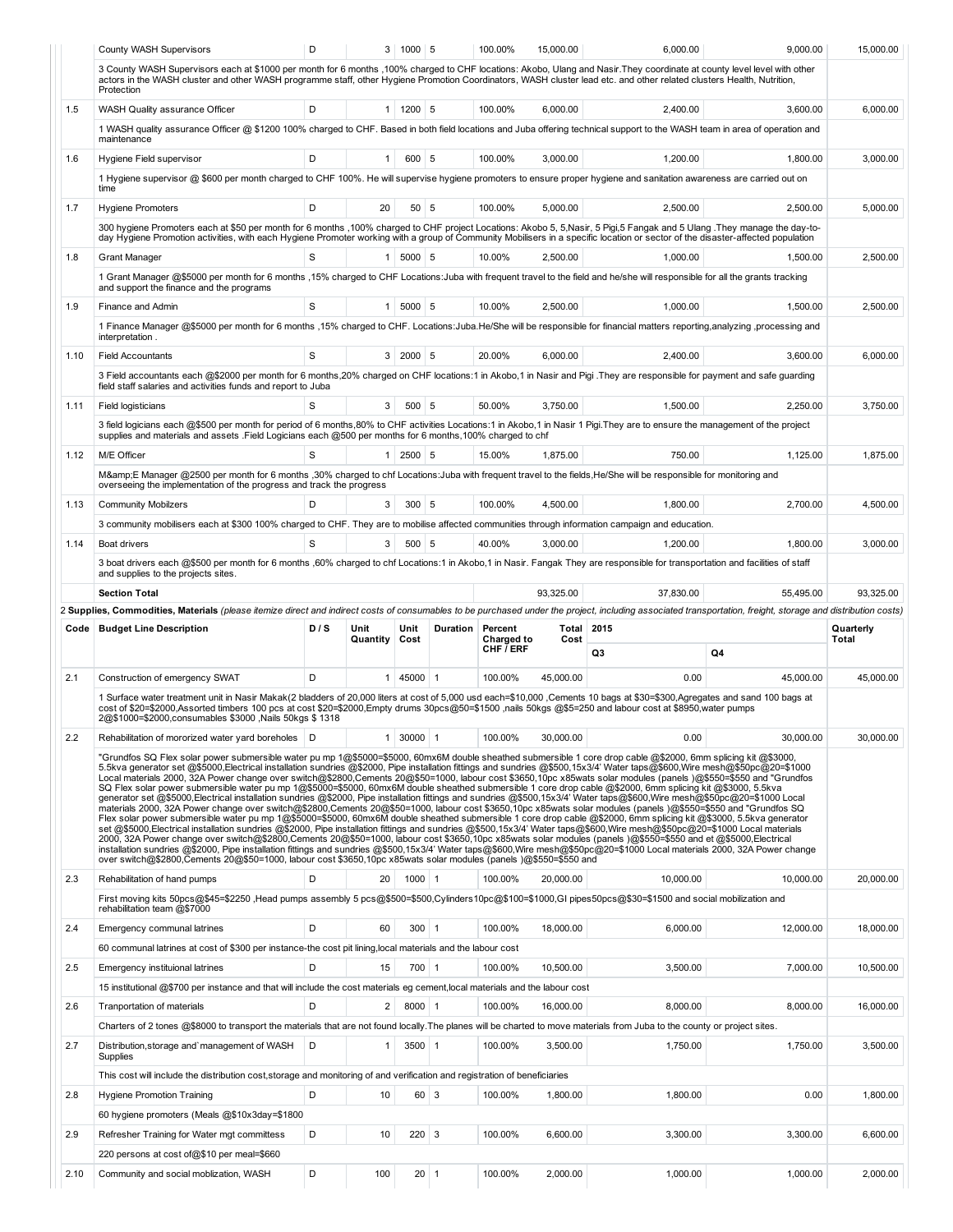|      | County WASH Supervisors                                                                                                                                                                                                                                                                                                                                                                                                                                                                                                                                                                                                                                                                                                                                                                                                                                                                                                                                                                                                                                                                                                                                                                                                                                                                                                                                                                                                                                                                                                                                                                                                                                                                                                                                                                                                                         | D   |                  | 3   1000   5         |             | 100.00%                      | 15,000.00     | 6,000.00  | 9,000.00  | 15,000.00          |
|------|-------------------------------------------------------------------------------------------------------------------------------------------------------------------------------------------------------------------------------------------------------------------------------------------------------------------------------------------------------------------------------------------------------------------------------------------------------------------------------------------------------------------------------------------------------------------------------------------------------------------------------------------------------------------------------------------------------------------------------------------------------------------------------------------------------------------------------------------------------------------------------------------------------------------------------------------------------------------------------------------------------------------------------------------------------------------------------------------------------------------------------------------------------------------------------------------------------------------------------------------------------------------------------------------------------------------------------------------------------------------------------------------------------------------------------------------------------------------------------------------------------------------------------------------------------------------------------------------------------------------------------------------------------------------------------------------------------------------------------------------------------------------------------------------------------------------------------------------------|-----|------------------|----------------------|-------------|------------------------------|---------------|-----------|-----------|--------------------|
|      | 3 County WASH Supervisors each at \$1000 per month for 6 months ,100% charged to CHF locations: Akobo, Ulang and Nasir. They coordinate at county level level with other<br>actors in the WASH cluster and other WASH programme staff, other Hygiene Promotion Coordinators, WASH cluster lead etc. and other related clusters Health, Nutrition,<br>Protection                                                                                                                                                                                                                                                                                                                                                                                                                                                                                                                                                                                                                                                                                                                                                                                                                                                                                                                                                                                                                                                                                                                                                                                                                                                                                                                                                                                                                                                                                 |     |                  |                      |             |                              |               |           |           |                    |
| 1.5  | WASH Quality assurance Officer                                                                                                                                                                                                                                                                                                                                                                                                                                                                                                                                                                                                                                                                                                                                                                                                                                                                                                                                                                                                                                                                                                                                                                                                                                                                                                                                                                                                                                                                                                                                                                                                                                                                                                                                                                                                                  | D   |                  | $1 \mid 1200 \mid 5$ |             | 100.00%                      | 6,000.00      | 2,400.00  | 3,600.00  | 6,000.00           |
|      | 1 WASH quality assurance Officer @ \$1200 100% charged to CHF. Based in both field locations and Juba offering technical support to the WASH team in area of operation and<br>maintenance                                                                                                                                                                                                                                                                                                                                                                                                                                                                                                                                                                                                                                                                                                                                                                                                                                                                                                                                                                                                                                                                                                                                                                                                                                                                                                                                                                                                                                                                                                                                                                                                                                                       |     |                  |                      |             |                              |               |           |           |                    |
| 1.6  | Hygiene Field supervisor                                                                                                                                                                                                                                                                                                                                                                                                                                                                                                                                                                                                                                                                                                                                                                                                                                                                                                                                                                                                                                                                                                                                                                                                                                                                                                                                                                                                                                                                                                                                                                                                                                                                                                                                                                                                                        | D   | 1                | 600 5                |             | 100.00%                      | 3,000.00      | 1,200.00  | 1,800.00  | 3,000.00           |
|      | 1 Hygiene supervisor @ \$600 per month charged to CHF 100%. He will supervise hygiene promoters to ensure proper hygiene and sanitation awareness are carried out on<br>time                                                                                                                                                                                                                                                                                                                                                                                                                                                                                                                                                                                                                                                                                                                                                                                                                                                                                                                                                                                                                                                                                                                                                                                                                                                                                                                                                                                                                                                                                                                                                                                                                                                                    |     |                  |                      |             |                              |               |           |           |                    |
| 1.7  | <b>Hygiene Promoters</b>                                                                                                                                                                                                                                                                                                                                                                                                                                                                                                                                                                                                                                                                                                                                                                                                                                                                                                                                                                                                                                                                                                                                                                                                                                                                                                                                                                                                                                                                                                                                                                                                                                                                                                                                                                                                                        | D   | 20               | 50                   | 5           | 100.00%                      | 5,000.00      | 2,500.00  | 2,500.00  | 5,000.00           |
|      | 300 hygiene Promoters each at \$50 per month for 6 months ,100% charged to CHF project Locations: Akobo 5, 5, Nasir, 5 Pigi, 5 Fangak and 5 Ulang . They manage the day-to-                                                                                                                                                                                                                                                                                                                                                                                                                                                                                                                                                                                                                                                                                                                                                                                                                                                                                                                                                                                                                                                                                                                                                                                                                                                                                                                                                                                                                                                                                                                                                                                                                                                                     |     |                  |                      |             |                              |               |           |           |                    |
| 1.8  | day Hygiene Promotion activities, with each Hygiene Promoter working with a group of Community Mobilisers in a specific location or sector of the disaster-affected population<br><b>Grant Manager</b>                                                                                                                                                                                                                                                                                                                                                                                                                                                                                                                                                                                                                                                                                                                                                                                                                                                                                                                                                                                                                                                                                                                                                                                                                                                                                                                                                                                                                                                                                                                                                                                                                                          | S   | 1                | $5000$ 5             |             | 10.00%                       | 2,500.00      | 1,000.00  | 1,500.00  | 2,500.00           |
|      | 1 Grant Manager @\$5000 per month for 6 months , 15% charged to CHF Locations: Juba with frequent travel to the field and he/she will responsible for all the grants tracking<br>and support the finance and the programs                                                                                                                                                                                                                                                                                                                                                                                                                                                                                                                                                                                                                                                                                                                                                                                                                                                                                                                                                                                                                                                                                                                                                                                                                                                                                                                                                                                                                                                                                                                                                                                                                       |     |                  |                      |             |                              |               |           |           |                    |
| 1.9  | Finance and Admin                                                                                                                                                                                                                                                                                                                                                                                                                                                                                                                                                                                                                                                                                                                                                                                                                                                                                                                                                                                                                                                                                                                                                                                                                                                                                                                                                                                                                                                                                                                                                                                                                                                                                                                                                                                                                               | S   |                  | $1$ 5000 5           |             | 10.00%                       | 2,500.00      | 1,000.00  | 1,500.00  | 2,500.00           |
|      | 1 Finance Manager @\$5000 per month for 6 months ,15% charged to CHF. Locations:Juba.He/She will be responsible for financial matters reporting,analyzing ,processing and                                                                                                                                                                                                                                                                                                                                                                                                                                                                                                                                                                                                                                                                                                                                                                                                                                                                                                                                                                                                                                                                                                                                                                                                                                                                                                                                                                                                                                                                                                                                                                                                                                                                       |     |                  |                      |             |                              |               |           |           |                    |
|      | interpretation.                                                                                                                                                                                                                                                                                                                                                                                                                                                                                                                                                                                                                                                                                                                                                                                                                                                                                                                                                                                                                                                                                                                                                                                                                                                                                                                                                                                                                                                                                                                                                                                                                                                                                                                                                                                                                                 |     |                  |                      |             |                              |               |           |           |                    |
| 1.10 | <b>Field Accountants</b><br>3 Field accountants each @\$2000 per month for 6 months,20% charged on CHF locations:1 in Akobo,1 in Nasir and Pigi . They are responsible for payment and safe guarding                                                                                                                                                                                                                                                                                                                                                                                                                                                                                                                                                                                                                                                                                                                                                                                                                                                                                                                                                                                                                                                                                                                                                                                                                                                                                                                                                                                                                                                                                                                                                                                                                                            | S   | 3 <sup>1</sup>   | 2000 5               |             | 20.00%                       | 6,000.00      | 2,400.00  | 3,600.00  | 6,000.00           |
|      | field staff salaries and activities funds and report to Juba                                                                                                                                                                                                                                                                                                                                                                                                                                                                                                                                                                                                                                                                                                                                                                                                                                                                                                                                                                                                                                                                                                                                                                                                                                                                                                                                                                                                                                                                                                                                                                                                                                                                                                                                                                                    |     |                  |                      |             |                              |               |           |           |                    |
| 1.11 | <b>Field logisticians</b>                                                                                                                                                                                                                                                                                                                                                                                                                                                                                                                                                                                                                                                                                                                                                                                                                                                                                                                                                                                                                                                                                                                                                                                                                                                                                                                                                                                                                                                                                                                                                                                                                                                                                                                                                                                                                       | S   | 3                | 500                  | 5           | 50.00%                       | 3,750.00      | 1,500.00  | 2,250.00  | 3,750.00           |
|      | 3 field logicians each @\$500 per month for period of 6 months, 80% to CHF activities Locations:1 in Akobo,1 in Nasir 1 Pigi. They are to ensure the management of the project<br>supplies and materials and assets .Field Logicians each @500 per months for 6 months, 100% charged to chf                                                                                                                                                                                                                                                                                                                                                                                                                                                                                                                                                                                                                                                                                                                                                                                                                                                                                                                                                                                                                                                                                                                                                                                                                                                                                                                                                                                                                                                                                                                                                     |     |                  |                      |             |                              |               |           |           |                    |
| 1.12 | M/E Officer                                                                                                                                                                                                                                                                                                                                                                                                                                                                                                                                                                                                                                                                                                                                                                                                                                                                                                                                                                                                                                                                                                                                                                                                                                                                                                                                                                                                                                                                                                                                                                                                                                                                                                                                                                                                                                     | S   | 1                | $2500$ 5             |             | 15.00%                       | 1,875.00      | 750.00    | 1,125.00  | 1,875.00           |
|      | M&E Manager @2500 per month for 6 months ,30% charged to chf Locations:Juba with frequent travel to the fields, He/She will be responsible for monitoring and<br>overseeing the implementation of the progress and track the progress                                                                                                                                                                                                                                                                                                                                                                                                                                                                                                                                                                                                                                                                                                                                                                                                                                                                                                                                                                                                                                                                                                                                                                                                                                                                                                                                                                                                                                                                                                                                                                                                           |     |                  |                      |             |                              |               |           |           |                    |
| 1.13 | <b>Community Mobilzers</b>                                                                                                                                                                                                                                                                                                                                                                                                                                                                                                                                                                                                                                                                                                                                                                                                                                                                                                                                                                                                                                                                                                                                                                                                                                                                                                                                                                                                                                                                                                                                                                                                                                                                                                                                                                                                                      | D   | 3                | $300$ 5              |             | 100.00%                      | 4,500.00      | 1,800.00  | 2,700.00  | 4,500.00           |
|      | 3 community mobilisers each at \$300 100% charged to CHF. They are to mobilise affected communities through information campaign and education.                                                                                                                                                                                                                                                                                                                                                                                                                                                                                                                                                                                                                                                                                                                                                                                                                                                                                                                                                                                                                                                                                                                                                                                                                                                                                                                                                                                                                                                                                                                                                                                                                                                                                                 |     |                  |                      |             |                              |               |           |           |                    |
| 1.14 | Boat drivers                                                                                                                                                                                                                                                                                                                                                                                                                                                                                                                                                                                                                                                                                                                                                                                                                                                                                                                                                                                                                                                                                                                                                                                                                                                                                                                                                                                                                                                                                                                                                                                                                                                                                                                                                                                                                                    | S   | 3                | $500$ 5              |             | 40.00%                       | 3,000.00      | 1,200.00  | 1,800.00  | 3,000.00           |
|      | 3 boat drivers each @\$500 per month for 6 months ,60% charged to chf Locations:1 in Akobo,1 in Nasir. Fangak They are responsible for transportation and facilities of staff<br>and supplies to the projects sites.                                                                                                                                                                                                                                                                                                                                                                                                                                                                                                                                                                                                                                                                                                                                                                                                                                                                                                                                                                                                                                                                                                                                                                                                                                                                                                                                                                                                                                                                                                                                                                                                                            |     |                  |                      |             |                              |               |           |           |                    |
|      | <b>Section Total</b>                                                                                                                                                                                                                                                                                                                                                                                                                                                                                                                                                                                                                                                                                                                                                                                                                                                                                                                                                                                                                                                                                                                                                                                                                                                                                                                                                                                                                                                                                                                                                                                                                                                                                                                                                                                                                            |     |                  |                      |             |                              | 93,325.00     | 37,830.00 | 55,495.00 | 93,325.00          |
|      |                                                                                                                                                                                                                                                                                                                                                                                                                                                                                                                                                                                                                                                                                                                                                                                                                                                                                                                                                                                                                                                                                                                                                                                                                                                                                                                                                                                                                                                                                                                                                                                                                                                                                                                                                                                                                                                 |     |                  |                      |             |                              |               |           |           |                    |
|      | 2 Supplies, Commodities, Materials (please itemize direct and indirect costs of consumables to be purchased under the project, including associated transportation, freight, storage and distribution costs)                                                                                                                                                                                                                                                                                                                                                                                                                                                                                                                                                                                                                                                                                                                                                                                                                                                                                                                                                                                                                                                                                                                                                                                                                                                                                                                                                                                                                                                                                                                                                                                                                                    |     |                  |                      |             |                              |               |           |           |                    |
|      | Code   Budget Line Description                                                                                                                                                                                                                                                                                                                                                                                                                                                                                                                                                                                                                                                                                                                                                                                                                                                                                                                                                                                                                                                                                                                                                                                                                                                                                                                                                                                                                                                                                                                                                                                                                                                                                                                                                                                                                  | D/S | Unit<br>Quantity | Unit<br>Cost         | Duration    | Percent<br><b>Charged to</b> | Total<br>Cost | 2015      |           | Quarterly<br>Total |
|      |                                                                                                                                                                                                                                                                                                                                                                                                                                                                                                                                                                                                                                                                                                                                                                                                                                                                                                                                                                                                                                                                                                                                                                                                                                                                                                                                                                                                                                                                                                                                                                                                                                                                                                                                                                                                                                                 |     |                  |                      |             | CHF / ERF                    |               | Q3        | Q4        |                    |
| 2.1  | Construction of emergency SWAT                                                                                                                                                                                                                                                                                                                                                                                                                                                                                                                                                                                                                                                                                                                                                                                                                                                                                                                                                                                                                                                                                                                                                                                                                                                                                                                                                                                                                                                                                                                                                                                                                                                                                                                                                                                                                  | D   | 1                | 45000 1              |             | 100.00%                      | 45.000.00     | 0.00      | 45,000.00 | 45.000.00          |
|      | 1 Surface water treatment unit in Nasir Makak(2 bladders of 20,000 liters at cost of 5,000 usd each=\$10,000, Cements 10 bags at \$30=\$300, Agregates and sand 100 bags at<br>cost of \$20=\$2000, Assorted timbers 100 pcs at cost \$20=\$2000, Empty drums 30pcs@50=\$1500, nails 50kgs @\$5=250 and labour cost at \$8950, water pumps<br>2@\$1000=\$2000,consumables \$3000, Nails 50kgs \$1318                                                                                                                                                                                                                                                                                                                                                                                                                                                                                                                                                                                                                                                                                                                                                                                                                                                                                                                                                                                                                                                                                                                                                                                                                                                                                                                                                                                                                                            |     |                  |                      |             |                              |               |           |           |                    |
| 2.2  | Rehabilitation of mororized water yard boreholes   D                                                                                                                                                                                                                                                                                                                                                                                                                                                                                                                                                                                                                                                                                                                                                                                                                                                                                                                                                                                                                                                                                                                                                                                                                                                                                                                                                                                                                                                                                                                                                                                                                                                                                                                                                                                            |     | 1 <sup>1</sup>   | $30000$ 1            |             | 100.00%                      | 30,000.00     | 0.00      | 30.000.00 | 30,000.00          |
|      | "Grundfos SQ Flex solar power submersible water pu mp 1@\$5000=\$5000, 60mx6M double sheathed submersible 1 core drop cable @\$2000, 6mm splicing kit @\$3000,<br>5.5kva generator set @\$5000,Electrical installation sundries @\$2000, Pipe installation fittings and sundries @\$500,15x3/4' Water taps@\$600,Wire mesh@\$50pc@20=\$1000<br>Local materials 2000, 32A Power change over switch@\$2800,Cements 20@\$50=1000, labour cost \$3650,10pc x85wats solar modules (panels)@\$550=\$550 and "Grundfos<br>SQ Flex solar power submersible water pu mp 1@\$5000=\$5000, 60mx6M double sheathed submersible 1 core drop cable @\$2000, 6mm splicing kit @\$3000, 5.5kva<br>generator set @\$5000,Electrical installation sundries @\$2000, Pipe installation fittings and sundries @\$500,15x3/4' Water taps@\$600,Wire mesh@\$50pc@20=\$1000 Local<br>materials 2000, 32A Power change over switch@\$2800,Cements 20@\$50=1000, labour cost \$3650,10pc x85wats solar modules (panels )@\$550=\$550 and "Grundfos SQ<br>Flex solar power submersible water pu mp 1@\$5000=\$5000, 60mx6M double sheathed submersible 1 core drop cable @\$2000, 6mm splicing kit @\$3000, 5.5kva generator<br>set @\$5000,Electrical installation sundries @\$2000, Pipe installation fittings and sundries @\$500,15x3/4' Water taps@\$600,Wire mesh@\$50pc@20=\$1000 Local materials<br>2000, 32A Power change over switch@\$2800,Cements 20@\$50=1000, labour cost \$3650,10pc x85wats solar modules (panels )@\$550=\$550 and et @\$5000,Electrical<br>installation sundries @\$2000, Pipe installation fittings and sundries @\$500,15x3/4' Water taps@\$600,Wire mesh@\$50pc@20=\$1000 Local materials 2000, 32A Power change<br>over switch@\$2800,Cements 20@\$50=1000, labour cost \$3650,10pc x85wats solar modules (panels )@\$550=\$550 and |     |                  |                      |             |                              |               |           |           |                    |
| 2.3  | Rehabilitation of hand pumps                                                                                                                                                                                                                                                                                                                                                                                                                                                                                                                                                                                                                                                                                                                                                                                                                                                                                                                                                                                                                                                                                                                                                                                                                                                                                                                                                                                                                                                                                                                                                                                                                                                                                                                                                                                                                    | D   | 20               | $1000$ 1             |             | 100.00%                      | 20,000.00     | 10,000.00 | 10.000.00 | 20,000.00          |
|      | First moving kits 50pcs@\$45=\$2250,Head pumps assembly 5 pcs@\$500=\$500,Cylinders10pc@\$100=\$1000,GI pipes50pcs@\$30=\$1500 and social mobilization and<br>rehabilitation team @\$7000                                                                                                                                                                                                                                                                                                                                                                                                                                                                                                                                                                                                                                                                                                                                                                                                                                                                                                                                                                                                                                                                                                                                                                                                                                                                                                                                                                                                                                                                                                                                                                                                                                                       |     |                  |                      |             |                              |               |           |           |                    |
| 2.4  | Emergency communal latrines                                                                                                                                                                                                                                                                                                                                                                                                                                                                                                                                                                                                                                                                                                                                                                                                                                                                                                                                                                                                                                                                                                                                                                                                                                                                                                                                                                                                                                                                                                                                                                                                                                                                                                                                                                                                                     | D   | 60               | $300$ 1              |             | 100.00%                      | 18,000.00     | 6,000.00  | 12.000.00 | 18,000.00          |
|      | 60 communal latrines at cost of \$300 per instance-the cost pit lining, local materials and the labour cost                                                                                                                                                                                                                                                                                                                                                                                                                                                                                                                                                                                                                                                                                                                                                                                                                                                                                                                                                                                                                                                                                                                                                                                                                                                                                                                                                                                                                                                                                                                                                                                                                                                                                                                                     |     |                  |                      |             |                              |               |           |           |                    |
| 2.5  | Emergency instituional latrines                                                                                                                                                                                                                                                                                                                                                                                                                                                                                                                                                                                                                                                                                                                                                                                                                                                                                                                                                                                                                                                                                                                                                                                                                                                                                                                                                                                                                                                                                                                                                                                                                                                                                                                                                                                                                 | D   | 15               | $700$ 1              |             | 100.00%                      | 10,500.00     | 3,500.00  | 7,000.00  | 10,500.00          |
|      | 15 institutional @\$700 per instance and that will include the cost materials eg cement, local materials and the labour cost                                                                                                                                                                                                                                                                                                                                                                                                                                                                                                                                                                                                                                                                                                                                                                                                                                                                                                                                                                                                                                                                                                                                                                                                                                                                                                                                                                                                                                                                                                                                                                                                                                                                                                                    |     |                  |                      |             |                              |               |           |           |                    |
| 2.6  | Tranportation of materials                                                                                                                                                                                                                                                                                                                                                                                                                                                                                                                                                                                                                                                                                                                                                                                                                                                                                                                                                                                                                                                                                                                                                                                                                                                                                                                                                                                                                                                                                                                                                                                                                                                                                                                                                                                                                      | D   | 2                | 8000 1               |             | 100.00%                      | 16,000.00     | 8,000.00  | 8,000.00  | 16,000.00          |
| 2.7  | Charters of 2 tones @\$8000 to transport the materials that are not found locally. The planes will be charted to move materials from Juba to the county or project sites.<br>Distribution, storage and management of WASH<br>Supplies                                                                                                                                                                                                                                                                                                                                                                                                                                                                                                                                                                                                                                                                                                                                                                                                                                                                                                                                                                                                                                                                                                                                                                                                                                                                                                                                                                                                                                                                                                                                                                                                           | D   | 1                | $3500$ 1             |             | 100.00%                      | 3,500.00      | 1,750.00  | 1,750.00  | 3,500.00           |
|      | This cost will include the distribution cost, storage and monitoring of and verification and registration of beneficiaries                                                                                                                                                                                                                                                                                                                                                                                                                                                                                                                                                                                                                                                                                                                                                                                                                                                                                                                                                                                                                                                                                                                                                                                                                                                                                                                                                                                                                                                                                                                                                                                                                                                                                                                      |     |                  |                      |             |                              |               |           |           |                    |
| 2.8  | <b>Hygiene Promotion Training</b>                                                                                                                                                                                                                                                                                                                                                                                                                                                                                                                                                                                                                                                                                                                                                                                                                                                                                                                                                                                                                                                                                                                                                                                                                                                                                                                                                                                                                                                                                                                                                                                                                                                                                                                                                                                                               | D   | 10               |                      | $60 \mid 3$ | 100.00%                      | 1,800.00      | 1,800.00  | 0.00      | 1,800.00           |
|      | 60 hygiene promoters (Meals @\$10x3day=\$1800                                                                                                                                                                                                                                                                                                                                                                                                                                                                                                                                                                                                                                                                                                                                                                                                                                                                                                                                                                                                                                                                                                                                                                                                                                                                                                                                                                                                                                                                                                                                                                                                                                                                                                                                                                                                   |     |                  |                      |             |                              |               |           |           |                    |
| 2.9  | Refresher Training for Water mgt committess                                                                                                                                                                                                                                                                                                                                                                                                                                                                                                                                                                                                                                                                                                                                                                                                                                                                                                                                                                                                                                                                                                                                                                                                                                                                                                                                                                                                                                                                                                                                                                                                                                                                                                                                                                                                     | D   | 10               | $220 \overline{3}$   |             | 100.00%                      | 6,600.00      | 3,300.00  | 3,300.00  | 6,600.00           |
| 2.10 | 220 persons at cost of@\$10 per meal=\$660<br>Community and social moblization, WASH                                                                                                                                                                                                                                                                                                                                                                                                                                                                                                                                                                                                                                                                                                                                                                                                                                                                                                                                                                                                                                                                                                                                                                                                                                                                                                                                                                                                                                                                                                                                                                                                                                                                                                                                                            | D   | 100              |                      | $20$ 1      | 100.00%                      | 2,000.00      | 1,000.00  | 1,000.00  | 2,000.00           |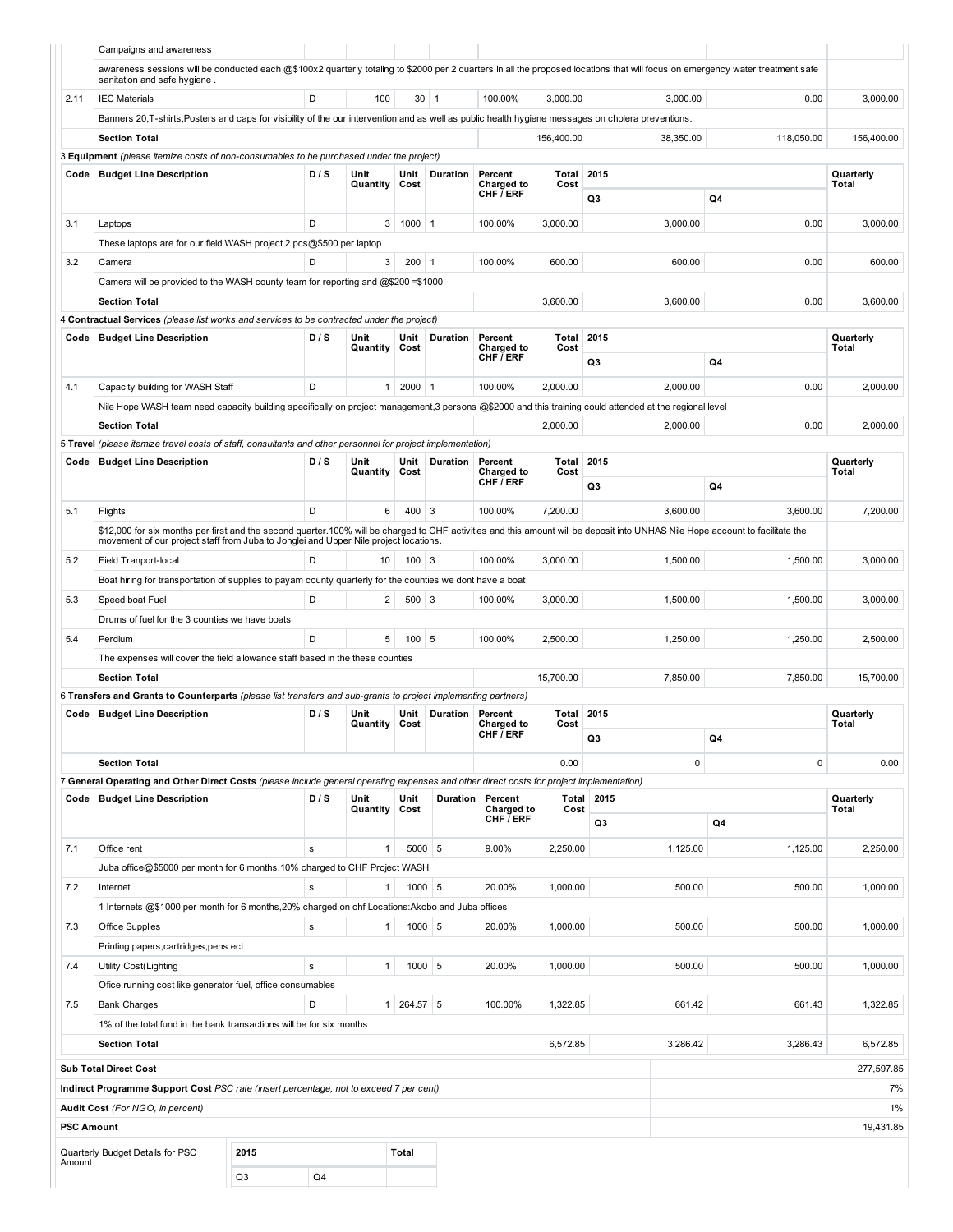| awareness sessions will be conducted each @\$100x2 quarterly totaling to \$2000 per 2 quarters in all the proposed locations that will focus on emergency water treatment,safe<br>sanitation and safe hygiene.<br>2.11<br>D<br>100<br>$30 \mid 1$<br>100.00%<br>3,000.00<br>3,000.00<br>0.00<br><b>IEC Materials</b><br>3,000.00<br>Banners 20, T-shirts, Posters and caps for visibility of the our intervention and as well as public health hygiene messages on cholera preventions.<br><b>Section Total</b><br>156,400.00<br>38.350.00<br>118,050.00<br>156,400.00<br>3 Equipment (please itemize costs of non-consumables to be purchased under the project)<br>2015<br><b>Budget Line Description</b><br>D/S<br>Unit<br>Unit<br>Duration<br>Percent<br>Total<br>Quarterly<br>Code<br>Charged to<br>Cost<br>Quantity<br>Cost<br>Total<br>CHF / ERF<br>Q4<br>Q3<br>D<br>$1000$ 1<br>3,000.00<br>3,000.00<br>0.00<br>3,000.00<br>3.1<br>Laptops<br>3<br>100.00%<br>These laptops are for our field WASH project 2 pcs@\$500 per laptop<br>3<br>$200$   1<br>600.00<br>600.00<br>0.00<br>3.2<br>Camera<br>D<br>100.00%<br>600.00<br>Camera will be provided to the WASH county team for reporting and @\$200 =\$1000<br><b>Section Total</b><br>3,600.00<br>3,600.00<br>0.00<br>3,600.00<br>4 Contractual Services (please list works and services to be contracted under the project)<br>2015<br><b>Budget Line Description</b><br>D/S<br>Unit<br>Duration<br>Percent<br>Total<br>Quarterly<br>Code<br>Unit<br>Quantity<br>Charged to<br>Cost<br>Total<br>Cost<br>CHF $\bar{I}$ ERF<br>Q4<br>Q3<br>D<br>$2000$ 1<br>100.00%<br>0.00<br>4.1<br>Capacity building for WASH Staff<br>$\mathbf{1}$<br>2,000.00<br>2,000.00<br>2,000.00<br>Nile Hope WASH team need capacity building specifically on project management,3 persons @\$2000 and this training could attended at the regional level<br>0.00<br><b>Section Total</b><br>2,000.00<br>2,000.00<br>2,000.00<br>5 Travel (please itemize travel costs of staff, consultants and other personnel for project implementation)<br>D/S<br>Total<br>2015<br><b>Budget Line Description</b><br>Unit<br>Unit<br>Duration<br>Percent<br>Quarterly<br>Code<br>Total<br>Quantity<br>Cost<br>Charged to<br>Cost<br>CHF / ERF<br>Q3<br>Q4<br>D<br>6<br>$400 \mid 3$<br>100.00%<br>7,200.00<br>3,600.00<br>3,600.00<br>7,200.00<br>5.1<br>Flights<br>\$12,000 for six months per first and the second quarter.100% will be charged to CHF activities and this amount will be deposit into UNHAS Nile Hope account to facilitate the<br>movement of our project staff from Juba to Jonglei and Upper Nile project locations.<br>D<br>$100 \mid 3$<br>100.00%<br>3,000.00<br>1,500.00<br>5.2<br>Field Tranport-local<br>10<br>1,500.00<br>3,000.00<br>Boat hiring for transportation of supplies to payam county quarterly for the counties we dont have a boat<br>D<br>$\overline{2}$<br>$500 \mid 3$<br>3,000.00<br>1,500.00<br>1,500.00<br>5.3<br>100.00%<br>3,000.00<br>Speed boat Fuel<br>Drums of fuel for the 3 counties we have boats<br>5<br>D<br>$100$ 5<br>100.00%<br>2,500.00<br>1,250.00<br>1,250.00<br>5.4<br>Perdium<br>2,500.00<br>The expenses will cover the field allowance staff based in the these counties<br>7,850.00<br><b>Section Total</b><br>15,700.00<br>7.850.00<br>15,700.00<br>6 Transfers and Grants to Counterparts (please list transfers and sub-grants to project implementing partners)<br>Total<br>2015<br><b>Budget Line Description</b><br>D/S<br>Unit<br>Unit<br>Duration<br>Percent<br>Code<br>Quarterly<br>Total<br>Quantity<br>Cost<br><b>Charged to</b><br>Cost<br>CHF / ERF<br>Q4<br>Q3<br>$\mathsf 0$<br><b>Section Total</b><br>0.00<br>0<br>0.00<br>7 General Operating and Other Direct Costs (please include general operating expenses and other direct costs for project implementation)<br>D/S<br>Unit<br>Unit<br>2015<br>Quarterly<br><b>Budget Line Description</b><br>Duration<br>Percent<br>Total<br>Code<br>Quantity<br>Cost<br>Cost<br>Total<br>Charged to<br>CHF / ERF<br>Q4<br>Q3<br>5000 5<br>7.1<br>Office rent<br>9.00%<br>1,125.00<br>1,125.00<br>2,250.00<br>s<br>1<br>2,250.00<br>Juba office@\$5000 per month for 6 months.10% charged to CHF Project WASH<br>$1000$ 5<br>7.2<br>20.00%<br>1,000.00<br>500.00<br>500.00<br>1,000.00<br>Internet<br>$\mathbf{1}$<br>s<br>1 Internets @\$1000 per month for 6 months, 20% charged on chf Locations: Akobo and Juba offices<br>$1000$ 5<br>20.00%<br>1,000.00<br>500.00<br>500.00<br>1,000.00<br>7.3<br>Office Supplies<br>s<br>$\mathbf{1}$<br>Printing papers, cartridges, pens ect<br>1000 5<br>7.4<br>$\mathbf{1}$<br>20.00%<br>1,000.00<br>500.00<br>500.00<br>1,000.00<br><b>Utility Cost(Lighting</b><br>s<br>Ofice running cost like generator fuel, office consumables<br>7.5<br>D<br>1<br>264.57 5<br>100.00%<br>1,322.85<br>661.42<br>661.43<br>1,322.85<br><b>Bank Charges</b><br>1% of the total fund in the bank transactions will be for six months<br>6,572.85<br>3,286.42<br><b>Section Total</b><br>3,286.43<br>6,572.85<br><b>Sub Total Direct Cost</b><br>277,597.85<br>Indirect Programme Support Cost PSC rate (insert percentage, not to exceed 7 per cent)<br>7%<br>Audit Cost (For NGO, in percent)<br>$1\%$<br><b>PSC Amount</b><br>19,431.85<br>2015<br>Total<br>Quarterly Budget Details for PSC<br>Q <sub>4</sub><br>Q3 |        | Campaigns and awareness |  |  |  |  |  |
|----------------------------------------------------------------------------------------------------------------------------------------------------------------------------------------------------------------------------------------------------------------------------------------------------------------------------------------------------------------------------------------------------------------------------------------------------------------------------------------------------------------------------------------------------------------------------------------------------------------------------------------------------------------------------------------------------------------------------------------------------------------------------------------------------------------------------------------------------------------------------------------------------------------------------------------------------------------------------------------------------------------------------------------------------------------------------------------------------------------------------------------------------------------------------------------------------------------------------------------------------------------------------------------------------------------------------------------------------------------------------------------------------------------------------------------------------------------------------------------------------------------------------------------------------------------------------------------------------------------------------------------------------------------------------------------------------------------------------------------------------------------------------------------------------------------------------------------------------------------------------------------------------------------------------------------------------------------------------------------------------------------------------------------------------------------------------------------------------------------------------------------------------------------------------------------------------------------------------------------------------------------------------------------------------------------------------------------------------------------------------------------------------------------------------------------------------------------------------------------------------------------------------------------------------------------------------------------------------------------------------------------------------------------------------------------------------------------------------------------------------------------------------------------------------------------------------------------------------------------------------------------------------------------------------------------------------------------------------------------------------------------------------------------------------------------------------------------------------------------------------------------------------------------------------------------------------------------------------------------------------------------------------------------------------------------------------------------------------------------------------------------------------------------------------------------------------------------------------------------------------------------------------------------------------------------------------------------------------------------------------------------------------------------------------------------------------------------------------------------------------------------------------------------------------------------------------------------------------------------------------------------------------------------------------------------------------------------------------------------------------------------------------------------------------------------------------------------------------------------------------------------------------------------------------------------------------------------------------------------------------------------------------------------------------------------------------------------------------------------------------------------------------------------------------------------------------------------------------------------------------------------------------------------------------------------------------------------------------------------------------------------------------------------------------------------------------------------------------------------------------------------------------------------------------------------------------------------------------------------------------------------------------------------------------------------------------------------------------------------------------------------------------------------------------------------------------------------------------------------------------------------------------------------------------------------------------------------------------------------------------------------------------------------------------------------------------------------------------------------------------------------------------------------|--------|-------------------------|--|--|--|--|--|
|                                                                                                                                                                                                                                                                                                                                                                                                                                                                                                                                                                                                                                                                                                                                                                                                                                                                                                                                                                                                                                                                                                                                                                                                                                                                                                                                                                                                                                                                                                                                                                                                                                                                                                                                                                                                                                                                                                                                                                                                                                                                                                                                                                                                                                                                                                                                                                                                                                                                                                                                                                                                                                                                                                                                                                                                                                                                                                                                                                                                                                                                                                                                                                                                                                                                                                                                                                                                                                                                                                                                                                                                                                                                                                                                                                                                                                                                                                                                                                                                                                                                                                                                                                                                                                                                                                                                                                                                                                                                                                                                                                                                                                                                                                                                                                                                                                                                                                                                                                                                                                                                                                                                                                                                                                                                                                                                                                                                                |        |                         |  |  |  |  |  |
|                                                                                                                                                                                                                                                                                                                                                                                                                                                                                                                                                                                                                                                                                                                                                                                                                                                                                                                                                                                                                                                                                                                                                                                                                                                                                                                                                                                                                                                                                                                                                                                                                                                                                                                                                                                                                                                                                                                                                                                                                                                                                                                                                                                                                                                                                                                                                                                                                                                                                                                                                                                                                                                                                                                                                                                                                                                                                                                                                                                                                                                                                                                                                                                                                                                                                                                                                                                                                                                                                                                                                                                                                                                                                                                                                                                                                                                                                                                                                                                                                                                                                                                                                                                                                                                                                                                                                                                                                                                                                                                                                                                                                                                                                                                                                                                                                                                                                                                                                                                                                                                                                                                                                                                                                                                                                                                                                                                                                |        |                         |  |  |  |  |  |
|                                                                                                                                                                                                                                                                                                                                                                                                                                                                                                                                                                                                                                                                                                                                                                                                                                                                                                                                                                                                                                                                                                                                                                                                                                                                                                                                                                                                                                                                                                                                                                                                                                                                                                                                                                                                                                                                                                                                                                                                                                                                                                                                                                                                                                                                                                                                                                                                                                                                                                                                                                                                                                                                                                                                                                                                                                                                                                                                                                                                                                                                                                                                                                                                                                                                                                                                                                                                                                                                                                                                                                                                                                                                                                                                                                                                                                                                                                                                                                                                                                                                                                                                                                                                                                                                                                                                                                                                                                                                                                                                                                                                                                                                                                                                                                                                                                                                                                                                                                                                                                                                                                                                                                                                                                                                                                                                                                                                                |        |                         |  |  |  |  |  |
|                                                                                                                                                                                                                                                                                                                                                                                                                                                                                                                                                                                                                                                                                                                                                                                                                                                                                                                                                                                                                                                                                                                                                                                                                                                                                                                                                                                                                                                                                                                                                                                                                                                                                                                                                                                                                                                                                                                                                                                                                                                                                                                                                                                                                                                                                                                                                                                                                                                                                                                                                                                                                                                                                                                                                                                                                                                                                                                                                                                                                                                                                                                                                                                                                                                                                                                                                                                                                                                                                                                                                                                                                                                                                                                                                                                                                                                                                                                                                                                                                                                                                                                                                                                                                                                                                                                                                                                                                                                                                                                                                                                                                                                                                                                                                                                                                                                                                                                                                                                                                                                                                                                                                                                                                                                                                                                                                                                                                |        |                         |  |  |  |  |  |
|                                                                                                                                                                                                                                                                                                                                                                                                                                                                                                                                                                                                                                                                                                                                                                                                                                                                                                                                                                                                                                                                                                                                                                                                                                                                                                                                                                                                                                                                                                                                                                                                                                                                                                                                                                                                                                                                                                                                                                                                                                                                                                                                                                                                                                                                                                                                                                                                                                                                                                                                                                                                                                                                                                                                                                                                                                                                                                                                                                                                                                                                                                                                                                                                                                                                                                                                                                                                                                                                                                                                                                                                                                                                                                                                                                                                                                                                                                                                                                                                                                                                                                                                                                                                                                                                                                                                                                                                                                                                                                                                                                                                                                                                                                                                                                                                                                                                                                                                                                                                                                                                                                                                                                                                                                                                                                                                                                                                                |        |                         |  |  |  |  |  |
|                                                                                                                                                                                                                                                                                                                                                                                                                                                                                                                                                                                                                                                                                                                                                                                                                                                                                                                                                                                                                                                                                                                                                                                                                                                                                                                                                                                                                                                                                                                                                                                                                                                                                                                                                                                                                                                                                                                                                                                                                                                                                                                                                                                                                                                                                                                                                                                                                                                                                                                                                                                                                                                                                                                                                                                                                                                                                                                                                                                                                                                                                                                                                                                                                                                                                                                                                                                                                                                                                                                                                                                                                                                                                                                                                                                                                                                                                                                                                                                                                                                                                                                                                                                                                                                                                                                                                                                                                                                                                                                                                                                                                                                                                                                                                                                                                                                                                                                                                                                                                                                                                                                                                                                                                                                                                                                                                                                                                |        |                         |  |  |  |  |  |
|                                                                                                                                                                                                                                                                                                                                                                                                                                                                                                                                                                                                                                                                                                                                                                                                                                                                                                                                                                                                                                                                                                                                                                                                                                                                                                                                                                                                                                                                                                                                                                                                                                                                                                                                                                                                                                                                                                                                                                                                                                                                                                                                                                                                                                                                                                                                                                                                                                                                                                                                                                                                                                                                                                                                                                                                                                                                                                                                                                                                                                                                                                                                                                                                                                                                                                                                                                                                                                                                                                                                                                                                                                                                                                                                                                                                                                                                                                                                                                                                                                                                                                                                                                                                                                                                                                                                                                                                                                                                                                                                                                                                                                                                                                                                                                                                                                                                                                                                                                                                                                                                                                                                                                                                                                                                                                                                                                                                                |        |                         |  |  |  |  |  |
|                                                                                                                                                                                                                                                                                                                                                                                                                                                                                                                                                                                                                                                                                                                                                                                                                                                                                                                                                                                                                                                                                                                                                                                                                                                                                                                                                                                                                                                                                                                                                                                                                                                                                                                                                                                                                                                                                                                                                                                                                                                                                                                                                                                                                                                                                                                                                                                                                                                                                                                                                                                                                                                                                                                                                                                                                                                                                                                                                                                                                                                                                                                                                                                                                                                                                                                                                                                                                                                                                                                                                                                                                                                                                                                                                                                                                                                                                                                                                                                                                                                                                                                                                                                                                                                                                                                                                                                                                                                                                                                                                                                                                                                                                                                                                                                                                                                                                                                                                                                                                                                                                                                                                                                                                                                                                                                                                                                                                |        |                         |  |  |  |  |  |
|                                                                                                                                                                                                                                                                                                                                                                                                                                                                                                                                                                                                                                                                                                                                                                                                                                                                                                                                                                                                                                                                                                                                                                                                                                                                                                                                                                                                                                                                                                                                                                                                                                                                                                                                                                                                                                                                                                                                                                                                                                                                                                                                                                                                                                                                                                                                                                                                                                                                                                                                                                                                                                                                                                                                                                                                                                                                                                                                                                                                                                                                                                                                                                                                                                                                                                                                                                                                                                                                                                                                                                                                                                                                                                                                                                                                                                                                                                                                                                                                                                                                                                                                                                                                                                                                                                                                                                                                                                                                                                                                                                                                                                                                                                                                                                                                                                                                                                                                                                                                                                                                                                                                                                                                                                                                                                                                                                                                                |        |                         |  |  |  |  |  |
|                                                                                                                                                                                                                                                                                                                                                                                                                                                                                                                                                                                                                                                                                                                                                                                                                                                                                                                                                                                                                                                                                                                                                                                                                                                                                                                                                                                                                                                                                                                                                                                                                                                                                                                                                                                                                                                                                                                                                                                                                                                                                                                                                                                                                                                                                                                                                                                                                                                                                                                                                                                                                                                                                                                                                                                                                                                                                                                                                                                                                                                                                                                                                                                                                                                                                                                                                                                                                                                                                                                                                                                                                                                                                                                                                                                                                                                                                                                                                                                                                                                                                                                                                                                                                                                                                                                                                                                                                                                                                                                                                                                                                                                                                                                                                                                                                                                                                                                                                                                                                                                                                                                                                                                                                                                                                                                                                                                                                |        |                         |  |  |  |  |  |
|                                                                                                                                                                                                                                                                                                                                                                                                                                                                                                                                                                                                                                                                                                                                                                                                                                                                                                                                                                                                                                                                                                                                                                                                                                                                                                                                                                                                                                                                                                                                                                                                                                                                                                                                                                                                                                                                                                                                                                                                                                                                                                                                                                                                                                                                                                                                                                                                                                                                                                                                                                                                                                                                                                                                                                                                                                                                                                                                                                                                                                                                                                                                                                                                                                                                                                                                                                                                                                                                                                                                                                                                                                                                                                                                                                                                                                                                                                                                                                                                                                                                                                                                                                                                                                                                                                                                                                                                                                                                                                                                                                                                                                                                                                                                                                                                                                                                                                                                                                                                                                                                                                                                                                                                                                                                                                                                                                                                                |        |                         |  |  |  |  |  |
|                                                                                                                                                                                                                                                                                                                                                                                                                                                                                                                                                                                                                                                                                                                                                                                                                                                                                                                                                                                                                                                                                                                                                                                                                                                                                                                                                                                                                                                                                                                                                                                                                                                                                                                                                                                                                                                                                                                                                                                                                                                                                                                                                                                                                                                                                                                                                                                                                                                                                                                                                                                                                                                                                                                                                                                                                                                                                                                                                                                                                                                                                                                                                                                                                                                                                                                                                                                                                                                                                                                                                                                                                                                                                                                                                                                                                                                                                                                                                                                                                                                                                                                                                                                                                                                                                                                                                                                                                                                                                                                                                                                                                                                                                                                                                                                                                                                                                                                                                                                                                                                                                                                                                                                                                                                                                                                                                                                                                |        |                         |  |  |  |  |  |
|                                                                                                                                                                                                                                                                                                                                                                                                                                                                                                                                                                                                                                                                                                                                                                                                                                                                                                                                                                                                                                                                                                                                                                                                                                                                                                                                                                                                                                                                                                                                                                                                                                                                                                                                                                                                                                                                                                                                                                                                                                                                                                                                                                                                                                                                                                                                                                                                                                                                                                                                                                                                                                                                                                                                                                                                                                                                                                                                                                                                                                                                                                                                                                                                                                                                                                                                                                                                                                                                                                                                                                                                                                                                                                                                                                                                                                                                                                                                                                                                                                                                                                                                                                                                                                                                                                                                                                                                                                                                                                                                                                                                                                                                                                                                                                                                                                                                                                                                                                                                                                                                                                                                                                                                                                                                                                                                                                                                                |        |                         |  |  |  |  |  |
|                                                                                                                                                                                                                                                                                                                                                                                                                                                                                                                                                                                                                                                                                                                                                                                                                                                                                                                                                                                                                                                                                                                                                                                                                                                                                                                                                                                                                                                                                                                                                                                                                                                                                                                                                                                                                                                                                                                                                                                                                                                                                                                                                                                                                                                                                                                                                                                                                                                                                                                                                                                                                                                                                                                                                                                                                                                                                                                                                                                                                                                                                                                                                                                                                                                                                                                                                                                                                                                                                                                                                                                                                                                                                                                                                                                                                                                                                                                                                                                                                                                                                                                                                                                                                                                                                                                                                                                                                                                                                                                                                                                                                                                                                                                                                                                                                                                                                                                                                                                                                                                                                                                                                                                                                                                                                                                                                                                                                |        |                         |  |  |  |  |  |
|                                                                                                                                                                                                                                                                                                                                                                                                                                                                                                                                                                                                                                                                                                                                                                                                                                                                                                                                                                                                                                                                                                                                                                                                                                                                                                                                                                                                                                                                                                                                                                                                                                                                                                                                                                                                                                                                                                                                                                                                                                                                                                                                                                                                                                                                                                                                                                                                                                                                                                                                                                                                                                                                                                                                                                                                                                                                                                                                                                                                                                                                                                                                                                                                                                                                                                                                                                                                                                                                                                                                                                                                                                                                                                                                                                                                                                                                                                                                                                                                                                                                                                                                                                                                                                                                                                                                                                                                                                                                                                                                                                                                                                                                                                                                                                                                                                                                                                                                                                                                                                                                                                                                                                                                                                                                                                                                                                                                                |        |                         |  |  |  |  |  |
|                                                                                                                                                                                                                                                                                                                                                                                                                                                                                                                                                                                                                                                                                                                                                                                                                                                                                                                                                                                                                                                                                                                                                                                                                                                                                                                                                                                                                                                                                                                                                                                                                                                                                                                                                                                                                                                                                                                                                                                                                                                                                                                                                                                                                                                                                                                                                                                                                                                                                                                                                                                                                                                                                                                                                                                                                                                                                                                                                                                                                                                                                                                                                                                                                                                                                                                                                                                                                                                                                                                                                                                                                                                                                                                                                                                                                                                                                                                                                                                                                                                                                                                                                                                                                                                                                                                                                                                                                                                                                                                                                                                                                                                                                                                                                                                                                                                                                                                                                                                                                                                                                                                                                                                                                                                                                                                                                                                                                |        |                         |  |  |  |  |  |
|                                                                                                                                                                                                                                                                                                                                                                                                                                                                                                                                                                                                                                                                                                                                                                                                                                                                                                                                                                                                                                                                                                                                                                                                                                                                                                                                                                                                                                                                                                                                                                                                                                                                                                                                                                                                                                                                                                                                                                                                                                                                                                                                                                                                                                                                                                                                                                                                                                                                                                                                                                                                                                                                                                                                                                                                                                                                                                                                                                                                                                                                                                                                                                                                                                                                                                                                                                                                                                                                                                                                                                                                                                                                                                                                                                                                                                                                                                                                                                                                                                                                                                                                                                                                                                                                                                                                                                                                                                                                                                                                                                                                                                                                                                                                                                                                                                                                                                                                                                                                                                                                                                                                                                                                                                                                                                                                                                                                                |        |                         |  |  |  |  |  |
|                                                                                                                                                                                                                                                                                                                                                                                                                                                                                                                                                                                                                                                                                                                                                                                                                                                                                                                                                                                                                                                                                                                                                                                                                                                                                                                                                                                                                                                                                                                                                                                                                                                                                                                                                                                                                                                                                                                                                                                                                                                                                                                                                                                                                                                                                                                                                                                                                                                                                                                                                                                                                                                                                                                                                                                                                                                                                                                                                                                                                                                                                                                                                                                                                                                                                                                                                                                                                                                                                                                                                                                                                                                                                                                                                                                                                                                                                                                                                                                                                                                                                                                                                                                                                                                                                                                                                                                                                                                                                                                                                                                                                                                                                                                                                                                                                                                                                                                                                                                                                                                                                                                                                                                                                                                                                                                                                                                                                |        |                         |  |  |  |  |  |
|                                                                                                                                                                                                                                                                                                                                                                                                                                                                                                                                                                                                                                                                                                                                                                                                                                                                                                                                                                                                                                                                                                                                                                                                                                                                                                                                                                                                                                                                                                                                                                                                                                                                                                                                                                                                                                                                                                                                                                                                                                                                                                                                                                                                                                                                                                                                                                                                                                                                                                                                                                                                                                                                                                                                                                                                                                                                                                                                                                                                                                                                                                                                                                                                                                                                                                                                                                                                                                                                                                                                                                                                                                                                                                                                                                                                                                                                                                                                                                                                                                                                                                                                                                                                                                                                                                                                                                                                                                                                                                                                                                                                                                                                                                                                                                                                                                                                                                                                                                                                                                                                                                                                                                                                                                                                                                                                                                                                                |        |                         |  |  |  |  |  |
|                                                                                                                                                                                                                                                                                                                                                                                                                                                                                                                                                                                                                                                                                                                                                                                                                                                                                                                                                                                                                                                                                                                                                                                                                                                                                                                                                                                                                                                                                                                                                                                                                                                                                                                                                                                                                                                                                                                                                                                                                                                                                                                                                                                                                                                                                                                                                                                                                                                                                                                                                                                                                                                                                                                                                                                                                                                                                                                                                                                                                                                                                                                                                                                                                                                                                                                                                                                                                                                                                                                                                                                                                                                                                                                                                                                                                                                                                                                                                                                                                                                                                                                                                                                                                                                                                                                                                                                                                                                                                                                                                                                                                                                                                                                                                                                                                                                                                                                                                                                                                                                                                                                                                                                                                                                                                                                                                                                                                |        |                         |  |  |  |  |  |
|                                                                                                                                                                                                                                                                                                                                                                                                                                                                                                                                                                                                                                                                                                                                                                                                                                                                                                                                                                                                                                                                                                                                                                                                                                                                                                                                                                                                                                                                                                                                                                                                                                                                                                                                                                                                                                                                                                                                                                                                                                                                                                                                                                                                                                                                                                                                                                                                                                                                                                                                                                                                                                                                                                                                                                                                                                                                                                                                                                                                                                                                                                                                                                                                                                                                                                                                                                                                                                                                                                                                                                                                                                                                                                                                                                                                                                                                                                                                                                                                                                                                                                                                                                                                                                                                                                                                                                                                                                                                                                                                                                                                                                                                                                                                                                                                                                                                                                                                                                                                                                                                                                                                                                                                                                                                                                                                                                                                                |        |                         |  |  |  |  |  |
|                                                                                                                                                                                                                                                                                                                                                                                                                                                                                                                                                                                                                                                                                                                                                                                                                                                                                                                                                                                                                                                                                                                                                                                                                                                                                                                                                                                                                                                                                                                                                                                                                                                                                                                                                                                                                                                                                                                                                                                                                                                                                                                                                                                                                                                                                                                                                                                                                                                                                                                                                                                                                                                                                                                                                                                                                                                                                                                                                                                                                                                                                                                                                                                                                                                                                                                                                                                                                                                                                                                                                                                                                                                                                                                                                                                                                                                                                                                                                                                                                                                                                                                                                                                                                                                                                                                                                                                                                                                                                                                                                                                                                                                                                                                                                                                                                                                                                                                                                                                                                                                                                                                                                                                                                                                                                                                                                                                                                |        |                         |  |  |  |  |  |
|                                                                                                                                                                                                                                                                                                                                                                                                                                                                                                                                                                                                                                                                                                                                                                                                                                                                                                                                                                                                                                                                                                                                                                                                                                                                                                                                                                                                                                                                                                                                                                                                                                                                                                                                                                                                                                                                                                                                                                                                                                                                                                                                                                                                                                                                                                                                                                                                                                                                                                                                                                                                                                                                                                                                                                                                                                                                                                                                                                                                                                                                                                                                                                                                                                                                                                                                                                                                                                                                                                                                                                                                                                                                                                                                                                                                                                                                                                                                                                                                                                                                                                                                                                                                                                                                                                                                                                                                                                                                                                                                                                                                                                                                                                                                                                                                                                                                                                                                                                                                                                                                                                                                                                                                                                                                                                                                                                                                                |        |                         |  |  |  |  |  |
|                                                                                                                                                                                                                                                                                                                                                                                                                                                                                                                                                                                                                                                                                                                                                                                                                                                                                                                                                                                                                                                                                                                                                                                                                                                                                                                                                                                                                                                                                                                                                                                                                                                                                                                                                                                                                                                                                                                                                                                                                                                                                                                                                                                                                                                                                                                                                                                                                                                                                                                                                                                                                                                                                                                                                                                                                                                                                                                                                                                                                                                                                                                                                                                                                                                                                                                                                                                                                                                                                                                                                                                                                                                                                                                                                                                                                                                                                                                                                                                                                                                                                                                                                                                                                                                                                                                                                                                                                                                                                                                                                                                                                                                                                                                                                                                                                                                                                                                                                                                                                                                                                                                                                                                                                                                                                                                                                                                                                |        |                         |  |  |  |  |  |
|                                                                                                                                                                                                                                                                                                                                                                                                                                                                                                                                                                                                                                                                                                                                                                                                                                                                                                                                                                                                                                                                                                                                                                                                                                                                                                                                                                                                                                                                                                                                                                                                                                                                                                                                                                                                                                                                                                                                                                                                                                                                                                                                                                                                                                                                                                                                                                                                                                                                                                                                                                                                                                                                                                                                                                                                                                                                                                                                                                                                                                                                                                                                                                                                                                                                                                                                                                                                                                                                                                                                                                                                                                                                                                                                                                                                                                                                                                                                                                                                                                                                                                                                                                                                                                                                                                                                                                                                                                                                                                                                                                                                                                                                                                                                                                                                                                                                                                                                                                                                                                                                                                                                                                                                                                                                                                                                                                                                                |        |                         |  |  |  |  |  |
|                                                                                                                                                                                                                                                                                                                                                                                                                                                                                                                                                                                                                                                                                                                                                                                                                                                                                                                                                                                                                                                                                                                                                                                                                                                                                                                                                                                                                                                                                                                                                                                                                                                                                                                                                                                                                                                                                                                                                                                                                                                                                                                                                                                                                                                                                                                                                                                                                                                                                                                                                                                                                                                                                                                                                                                                                                                                                                                                                                                                                                                                                                                                                                                                                                                                                                                                                                                                                                                                                                                                                                                                                                                                                                                                                                                                                                                                                                                                                                                                                                                                                                                                                                                                                                                                                                                                                                                                                                                                                                                                                                                                                                                                                                                                                                                                                                                                                                                                                                                                                                                                                                                                                                                                                                                                                                                                                                                                                |        |                         |  |  |  |  |  |
|                                                                                                                                                                                                                                                                                                                                                                                                                                                                                                                                                                                                                                                                                                                                                                                                                                                                                                                                                                                                                                                                                                                                                                                                                                                                                                                                                                                                                                                                                                                                                                                                                                                                                                                                                                                                                                                                                                                                                                                                                                                                                                                                                                                                                                                                                                                                                                                                                                                                                                                                                                                                                                                                                                                                                                                                                                                                                                                                                                                                                                                                                                                                                                                                                                                                                                                                                                                                                                                                                                                                                                                                                                                                                                                                                                                                                                                                                                                                                                                                                                                                                                                                                                                                                                                                                                                                                                                                                                                                                                                                                                                                                                                                                                                                                                                                                                                                                                                                                                                                                                                                                                                                                                                                                                                                                                                                                                                                                |        |                         |  |  |  |  |  |
|                                                                                                                                                                                                                                                                                                                                                                                                                                                                                                                                                                                                                                                                                                                                                                                                                                                                                                                                                                                                                                                                                                                                                                                                                                                                                                                                                                                                                                                                                                                                                                                                                                                                                                                                                                                                                                                                                                                                                                                                                                                                                                                                                                                                                                                                                                                                                                                                                                                                                                                                                                                                                                                                                                                                                                                                                                                                                                                                                                                                                                                                                                                                                                                                                                                                                                                                                                                                                                                                                                                                                                                                                                                                                                                                                                                                                                                                                                                                                                                                                                                                                                                                                                                                                                                                                                                                                                                                                                                                                                                                                                                                                                                                                                                                                                                                                                                                                                                                                                                                                                                                                                                                                                                                                                                                                                                                                                                                                |        |                         |  |  |  |  |  |
|                                                                                                                                                                                                                                                                                                                                                                                                                                                                                                                                                                                                                                                                                                                                                                                                                                                                                                                                                                                                                                                                                                                                                                                                                                                                                                                                                                                                                                                                                                                                                                                                                                                                                                                                                                                                                                                                                                                                                                                                                                                                                                                                                                                                                                                                                                                                                                                                                                                                                                                                                                                                                                                                                                                                                                                                                                                                                                                                                                                                                                                                                                                                                                                                                                                                                                                                                                                                                                                                                                                                                                                                                                                                                                                                                                                                                                                                                                                                                                                                                                                                                                                                                                                                                                                                                                                                                                                                                                                                                                                                                                                                                                                                                                                                                                                                                                                                                                                                                                                                                                                                                                                                                                                                                                                                                                                                                                                                                |        |                         |  |  |  |  |  |
|                                                                                                                                                                                                                                                                                                                                                                                                                                                                                                                                                                                                                                                                                                                                                                                                                                                                                                                                                                                                                                                                                                                                                                                                                                                                                                                                                                                                                                                                                                                                                                                                                                                                                                                                                                                                                                                                                                                                                                                                                                                                                                                                                                                                                                                                                                                                                                                                                                                                                                                                                                                                                                                                                                                                                                                                                                                                                                                                                                                                                                                                                                                                                                                                                                                                                                                                                                                                                                                                                                                                                                                                                                                                                                                                                                                                                                                                                                                                                                                                                                                                                                                                                                                                                                                                                                                                                                                                                                                                                                                                                                                                                                                                                                                                                                                                                                                                                                                                                                                                                                                                                                                                                                                                                                                                                                                                                                                                                |        |                         |  |  |  |  |  |
|                                                                                                                                                                                                                                                                                                                                                                                                                                                                                                                                                                                                                                                                                                                                                                                                                                                                                                                                                                                                                                                                                                                                                                                                                                                                                                                                                                                                                                                                                                                                                                                                                                                                                                                                                                                                                                                                                                                                                                                                                                                                                                                                                                                                                                                                                                                                                                                                                                                                                                                                                                                                                                                                                                                                                                                                                                                                                                                                                                                                                                                                                                                                                                                                                                                                                                                                                                                                                                                                                                                                                                                                                                                                                                                                                                                                                                                                                                                                                                                                                                                                                                                                                                                                                                                                                                                                                                                                                                                                                                                                                                                                                                                                                                                                                                                                                                                                                                                                                                                                                                                                                                                                                                                                                                                                                                                                                                                                                |        |                         |  |  |  |  |  |
|                                                                                                                                                                                                                                                                                                                                                                                                                                                                                                                                                                                                                                                                                                                                                                                                                                                                                                                                                                                                                                                                                                                                                                                                                                                                                                                                                                                                                                                                                                                                                                                                                                                                                                                                                                                                                                                                                                                                                                                                                                                                                                                                                                                                                                                                                                                                                                                                                                                                                                                                                                                                                                                                                                                                                                                                                                                                                                                                                                                                                                                                                                                                                                                                                                                                                                                                                                                                                                                                                                                                                                                                                                                                                                                                                                                                                                                                                                                                                                                                                                                                                                                                                                                                                                                                                                                                                                                                                                                                                                                                                                                                                                                                                                                                                                                                                                                                                                                                                                                                                                                                                                                                                                                                                                                                                                                                                                                                                |        |                         |  |  |  |  |  |
|                                                                                                                                                                                                                                                                                                                                                                                                                                                                                                                                                                                                                                                                                                                                                                                                                                                                                                                                                                                                                                                                                                                                                                                                                                                                                                                                                                                                                                                                                                                                                                                                                                                                                                                                                                                                                                                                                                                                                                                                                                                                                                                                                                                                                                                                                                                                                                                                                                                                                                                                                                                                                                                                                                                                                                                                                                                                                                                                                                                                                                                                                                                                                                                                                                                                                                                                                                                                                                                                                                                                                                                                                                                                                                                                                                                                                                                                                                                                                                                                                                                                                                                                                                                                                                                                                                                                                                                                                                                                                                                                                                                                                                                                                                                                                                                                                                                                                                                                                                                                                                                                                                                                                                                                                                                                                                                                                                                                                |        |                         |  |  |  |  |  |
|                                                                                                                                                                                                                                                                                                                                                                                                                                                                                                                                                                                                                                                                                                                                                                                                                                                                                                                                                                                                                                                                                                                                                                                                                                                                                                                                                                                                                                                                                                                                                                                                                                                                                                                                                                                                                                                                                                                                                                                                                                                                                                                                                                                                                                                                                                                                                                                                                                                                                                                                                                                                                                                                                                                                                                                                                                                                                                                                                                                                                                                                                                                                                                                                                                                                                                                                                                                                                                                                                                                                                                                                                                                                                                                                                                                                                                                                                                                                                                                                                                                                                                                                                                                                                                                                                                                                                                                                                                                                                                                                                                                                                                                                                                                                                                                                                                                                                                                                                                                                                                                                                                                                                                                                                                                                                                                                                                                                                |        |                         |  |  |  |  |  |
|                                                                                                                                                                                                                                                                                                                                                                                                                                                                                                                                                                                                                                                                                                                                                                                                                                                                                                                                                                                                                                                                                                                                                                                                                                                                                                                                                                                                                                                                                                                                                                                                                                                                                                                                                                                                                                                                                                                                                                                                                                                                                                                                                                                                                                                                                                                                                                                                                                                                                                                                                                                                                                                                                                                                                                                                                                                                                                                                                                                                                                                                                                                                                                                                                                                                                                                                                                                                                                                                                                                                                                                                                                                                                                                                                                                                                                                                                                                                                                                                                                                                                                                                                                                                                                                                                                                                                                                                                                                                                                                                                                                                                                                                                                                                                                                                                                                                                                                                                                                                                                                                                                                                                                                                                                                                                                                                                                                                                |        |                         |  |  |  |  |  |
|                                                                                                                                                                                                                                                                                                                                                                                                                                                                                                                                                                                                                                                                                                                                                                                                                                                                                                                                                                                                                                                                                                                                                                                                                                                                                                                                                                                                                                                                                                                                                                                                                                                                                                                                                                                                                                                                                                                                                                                                                                                                                                                                                                                                                                                                                                                                                                                                                                                                                                                                                                                                                                                                                                                                                                                                                                                                                                                                                                                                                                                                                                                                                                                                                                                                                                                                                                                                                                                                                                                                                                                                                                                                                                                                                                                                                                                                                                                                                                                                                                                                                                                                                                                                                                                                                                                                                                                                                                                                                                                                                                                                                                                                                                                                                                                                                                                                                                                                                                                                                                                                                                                                                                                                                                                                                                                                                                                                                |        |                         |  |  |  |  |  |
|                                                                                                                                                                                                                                                                                                                                                                                                                                                                                                                                                                                                                                                                                                                                                                                                                                                                                                                                                                                                                                                                                                                                                                                                                                                                                                                                                                                                                                                                                                                                                                                                                                                                                                                                                                                                                                                                                                                                                                                                                                                                                                                                                                                                                                                                                                                                                                                                                                                                                                                                                                                                                                                                                                                                                                                                                                                                                                                                                                                                                                                                                                                                                                                                                                                                                                                                                                                                                                                                                                                                                                                                                                                                                                                                                                                                                                                                                                                                                                                                                                                                                                                                                                                                                                                                                                                                                                                                                                                                                                                                                                                                                                                                                                                                                                                                                                                                                                                                                                                                                                                                                                                                                                                                                                                                                                                                                                                                                |        |                         |  |  |  |  |  |
|                                                                                                                                                                                                                                                                                                                                                                                                                                                                                                                                                                                                                                                                                                                                                                                                                                                                                                                                                                                                                                                                                                                                                                                                                                                                                                                                                                                                                                                                                                                                                                                                                                                                                                                                                                                                                                                                                                                                                                                                                                                                                                                                                                                                                                                                                                                                                                                                                                                                                                                                                                                                                                                                                                                                                                                                                                                                                                                                                                                                                                                                                                                                                                                                                                                                                                                                                                                                                                                                                                                                                                                                                                                                                                                                                                                                                                                                                                                                                                                                                                                                                                                                                                                                                                                                                                                                                                                                                                                                                                                                                                                                                                                                                                                                                                                                                                                                                                                                                                                                                                                                                                                                                                                                                                                                                                                                                                                                                |        |                         |  |  |  |  |  |
|                                                                                                                                                                                                                                                                                                                                                                                                                                                                                                                                                                                                                                                                                                                                                                                                                                                                                                                                                                                                                                                                                                                                                                                                                                                                                                                                                                                                                                                                                                                                                                                                                                                                                                                                                                                                                                                                                                                                                                                                                                                                                                                                                                                                                                                                                                                                                                                                                                                                                                                                                                                                                                                                                                                                                                                                                                                                                                                                                                                                                                                                                                                                                                                                                                                                                                                                                                                                                                                                                                                                                                                                                                                                                                                                                                                                                                                                                                                                                                                                                                                                                                                                                                                                                                                                                                                                                                                                                                                                                                                                                                                                                                                                                                                                                                                                                                                                                                                                                                                                                                                                                                                                                                                                                                                                                                                                                                                                                |        |                         |  |  |  |  |  |
|                                                                                                                                                                                                                                                                                                                                                                                                                                                                                                                                                                                                                                                                                                                                                                                                                                                                                                                                                                                                                                                                                                                                                                                                                                                                                                                                                                                                                                                                                                                                                                                                                                                                                                                                                                                                                                                                                                                                                                                                                                                                                                                                                                                                                                                                                                                                                                                                                                                                                                                                                                                                                                                                                                                                                                                                                                                                                                                                                                                                                                                                                                                                                                                                                                                                                                                                                                                                                                                                                                                                                                                                                                                                                                                                                                                                                                                                                                                                                                                                                                                                                                                                                                                                                                                                                                                                                                                                                                                                                                                                                                                                                                                                                                                                                                                                                                                                                                                                                                                                                                                                                                                                                                                                                                                                                                                                                                                                                |        |                         |  |  |  |  |  |
|                                                                                                                                                                                                                                                                                                                                                                                                                                                                                                                                                                                                                                                                                                                                                                                                                                                                                                                                                                                                                                                                                                                                                                                                                                                                                                                                                                                                                                                                                                                                                                                                                                                                                                                                                                                                                                                                                                                                                                                                                                                                                                                                                                                                                                                                                                                                                                                                                                                                                                                                                                                                                                                                                                                                                                                                                                                                                                                                                                                                                                                                                                                                                                                                                                                                                                                                                                                                                                                                                                                                                                                                                                                                                                                                                                                                                                                                                                                                                                                                                                                                                                                                                                                                                                                                                                                                                                                                                                                                                                                                                                                                                                                                                                                                                                                                                                                                                                                                                                                                                                                                                                                                                                                                                                                                                                                                                                                                                |        |                         |  |  |  |  |  |
|                                                                                                                                                                                                                                                                                                                                                                                                                                                                                                                                                                                                                                                                                                                                                                                                                                                                                                                                                                                                                                                                                                                                                                                                                                                                                                                                                                                                                                                                                                                                                                                                                                                                                                                                                                                                                                                                                                                                                                                                                                                                                                                                                                                                                                                                                                                                                                                                                                                                                                                                                                                                                                                                                                                                                                                                                                                                                                                                                                                                                                                                                                                                                                                                                                                                                                                                                                                                                                                                                                                                                                                                                                                                                                                                                                                                                                                                                                                                                                                                                                                                                                                                                                                                                                                                                                                                                                                                                                                                                                                                                                                                                                                                                                                                                                                                                                                                                                                                                                                                                                                                                                                                                                                                                                                                                                                                                                                                                |        |                         |  |  |  |  |  |
|                                                                                                                                                                                                                                                                                                                                                                                                                                                                                                                                                                                                                                                                                                                                                                                                                                                                                                                                                                                                                                                                                                                                                                                                                                                                                                                                                                                                                                                                                                                                                                                                                                                                                                                                                                                                                                                                                                                                                                                                                                                                                                                                                                                                                                                                                                                                                                                                                                                                                                                                                                                                                                                                                                                                                                                                                                                                                                                                                                                                                                                                                                                                                                                                                                                                                                                                                                                                                                                                                                                                                                                                                                                                                                                                                                                                                                                                                                                                                                                                                                                                                                                                                                                                                                                                                                                                                                                                                                                                                                                                                                                                                                                                                                                                                                                                                                                                                                                                                                                                                                                                                                                                                                                                                                                                                                                                                                                                                |        |                         |  |  |  |  |  |
|                                                                                                                                                                                                                                                                                                                                                                                                                                                                                                                                                                                                                                                                                                                                                                                                                                                                                                                                                                                                                                                                                                                                                                                                                                                                                                                                                                                                                                                                                                                                                                                                                                                                                                                                                                                                                                                                                                                                                                                                                                                                                                                                                                                                                                                                                                                                                                                                                                                                                                                                                                                                                                                                                                                                                                                                                                                                                                                                                                                                                                                                                                                                                                                                                                                                                                                                                                                                                                                                                                                                                                                                                                                                                                                                                                                                                                                                                                                                                                                                                                                                                                                                                                                                                                                                                                                                                                                                                                                                                                                                                                                                                                                                                                                                                                                                                                                                                                                                                                                                                                                                                                                                                                                                                                                                                                                                                                                                                |        |                         |  |  |  |  |  |
|                                                                                                                                                                                                                                                                                                                                                                                                                                                                                                                                                                                                                                                                                                                                                                                                                                                                                                                                                                                                                                                                                                                                                                                                                                                                                                                                                                                                                                                                                                                                                                                                                                                                                                                                                                                                                                                                                                                                                                                                                                                                                                                                                                                                                                                                                                                                                                                                                                                                                                                                                                                                                                                                                                                                                                                                                                                                                                                                                                                                                                                                                                                                                                                                                                                                                                                                                                                                                                                                                                                                                                                                                                                                                                                                                                                                                                                                                                                                                                                                                                                                                                                                                                                                                                                                                                                                                                                                                                                                                                                                                                                                                                                                                                                                                                                                                                                                                                                                                                                                                                                                                                                                                                                                                                                                                                                                                                                                                |        |                         |  |  |  |  |  |
|                                                                                                                                                                                                                                                                                                                                                                                                                                                                                                                                                                                                                                                                                                                                                                                                                                                                                                                                                                                                                                                                                                                                                                                                                                                                                                                                                                                                                                                                                                                                                                                                                                                                                                                                                                                                                                                                                                                                                                                                                                                                                                                                                                                                                                                                                                                                                                                                                                                                                                                                                                                                                                                                                                                                                                                                                                                                                                                                                                                                                                                                                                                                                                                                                                                                                                                                                                                                                                                                                                                                                                                                                                                                                                                                                                                                                                                                                                                                                                                                                                                                                                                                                                                                                                                                                                                                                                                                                                                                                                                                                                                                                                                                                                                                                                                                                                                                                                                                                                                                                                                                                                                                                                                                                                                                                                                                                                                                                |        |                         |  |  |  |  |  |
|                                                                                                                                                                                                                                                                                                                                                                                                                                                                                                                                                                                                                                                                                                                                                                                                                                                                                                                                                                                                                                                                                                                                                                                                                                                                                                                                                                                                                                                                                                                                                                                                                                                                                                                                                                                                                                                                                                                                                                                                                                                                                                                                                                                                                                                                                                                                                                                                                                                                                                                                                                                                                                                                                                                                                                                                                                                                                                                                                                                                                                                                                                                                                                                                                                                                                                                                                                                                                                                                                                                                                                                                                                                                                                                                                                                                                                                                                                                                                                                                                                                                                                                                                                                                                                                                                                                                                                                                                                                                                                                                                                                                                                                                                                                                                                                                                                                                                                                                                                                                                                                                                                                                                                                                                                                                                                                                                                                                                |        |                         |  |  |  |  |  |
|                                                                                                                                                                                                                                                                                                                                                                                                                                                                                                                                                                                                                                                                                                                                                                                                                                                                                                                                                                                                                                                                                                                                                                                                                                                                                                                                                                                                                                                                                                                                                                                                                                                                                                                                                                                                                                                                                                                                                                                                                                                                                                                                                                                                                                                                                                                                                                                                                                                                                                                                                                                                                                                                                                                                                                                                                                                                                                                                                                                                                                                                                                                                                                                                                                                                                                                                                                                                                                                                                                                                                                                                                                                                                                                                                                                                                                                                                                                                                                                                                                                                                                                                                                                                                                                                                                                                                                                                                                                                                                                                                                                                                                                                                                                                                                                                                                                                                                                                                                                                                                                                                                                                                                                                                                                                                                                                                                                                                |        |                         |  |  |  |  |  |
|                                                                                                                                                                                                                                                                                                                                                                                                                                                                                                                                                                                                                                                                                                                                                                                                                                                                                                                                                                                                                                                                                                                                                                                                                                                                                                                                                                                                                                                                                                                                                                                                                                                                                                                                                                                                                                                                                                                                                                                                                                                                                                                                                                                                                                                                                                                                                                                                                                                                                                                                                                                                                                                                                                                                                                                                                                                                                                                                                                                                                                                                                                                                                                                                                                                                                                                                                                                                                                                                                                                                                                                                                                                                                                                                                                                                                                                                                                                                                                                                                                                                                                                                                                                                                                                                                                                                                                                                                                                                                                                                                                                                                                                                                                                                                                                                                                                                                                                                                                                                                                                                                                                                                                                                                                                                                                                                                                                                                |        |                         |  |  |  |  |  |
|                                                                                                                                                                                                                                                                                                                                                                                                                                                                                                                                                                                                                                                                                                                                                                                                                                                                                                                                                                                                                                                                                                                                                                                                                                                                                                                                                                                                                                                                                                                                                                                                                                                                                                                                                                                                                                                                                                                                                                                                                                                                                                                                                                                                                                                                                                                                                                                                                                                                                                                                                                                                                                                                                                                                                                                                                                                                                                                                                                                                                                                                                                                                                                                                                                                                                                                                                                                                                                                                                                                                                                                                                                                                                                                                                                                                                                                                                                                                                                                                                                                                                                                                                                                                                                                                                                                                                                                                                                                                                                                                                                                                                                                                                                                                                                                                                                                                                                                                                                                                                                                                                                                                                                                                                                                                                                                                                                                                                |        |                         |  |  |  |  |  |
|                                                                                                                                                                                                                                                                                                                                                                                                                                                                                                                                                                                                                                                                                                                                                                                                                                                                                                                                                                                                                                                                                                                                                                                                                                                                                                                                                                                                                                                                                                                                                                                                                                                                                                                                                                                                                                                                                                                                                                                                                                                                                                                                                                                                                                                                                                                                                                                                                                                                                                                                                                                                                                                                                                                                                                                                                                                                                                                                                                                                                                                                                                                                                                                                                                                                                                                                                                                                                                                                                                                                                                                                                                                                                                                                                                                                                                                                                                                                                                                                                                                                                                                                                                                                                                                                                                                                                                                                                                                                                                                                                                                                                                                                                                                                                                                                                                                                                                                                                                                                                                                                                                                                                                                                                                                                                                                                                                                                                |        |                         |  |  |  |  |  |
|                                                                                                                                                                                                                                                                                                                                                                                                                                                                                                                                                                                                                                                                                                                                                                                                                                                                                                                                                                                                                                                                                                                                                                                                                                                                                                                                                                                                                                                                                                                                                                                                                                                                                                                                                                                                                                                                                                                                                                                                                                                                                                                                                                                                                                                                                                                                                                                                                                                                                                                                                                                                                                                                                                                                                                                                                                                                                                                                                                                                                                                                                                                                                                                                                                                                                                                                                                                                                                                                                                                                                                                                                                                                                                                                                                                                                                                                                                                                                                                                                                                                                                                                                                                                                                                                                                                                                                                                                                                                                                                                                                                                                                                                                                                                                                                                                                                                                                                                                                                                                                                                                                                                                                                                                                                                                                                                                                                                                |        |                         |  |  |  |  |  |
|                                                                                                                                                                                                                                                                                                                                                                                                                                                                                                                                                                                                                                                                                                                                                                                                                                                                                                                                                                                                                                                                                                                                                                                                                                                                                                                                                                                                                                                                                                                                                                                                                                                                                                                                                                                                                                                                                                                                                                                                                                                                                                                                                                                                                                                                                                                                                                                                                                                                                                                                                                                                                                                                                                                                                                                                                                                                                                                                                                                                                                                                                                                                                                                                                                                                                                                                                                                                                                                                                                                                                                                                                                                                                                                                                                                                                                                                                                                                                                                                                                                                                                                                                                                                                                                                                                                                                                                                                                                                                                                                                                                                                                                                                                                                                                                                                                                                                                                                                                                                                                                                                                                                                                                                                                                                                                                                                                                                                |        |                         |  |  |  |  |  |
|                                                                                                                                                                                                                                                                                                                                                                                                                                                                                                                                                                                                                                                                                                                                                                                                                                                                                                                                                                                                                                                                                                                                                                                                                                                                                                                                                                                                                                                                                                                                                                                                                                                                                                                                                                                                                                                                                                                                                                                                                                                                                                                                                                                                                                                                                                                                                                                                                                                                                                                                                                                                                                                                                                                                                                                                                                                                                                                                                                                                                                                                                                                                                                                                                                                                                                                                                                                                                                                                                                                                                                                                                                                                                                                                                                                                                                                                                                                                                                                                                                                                                                                                                                                                                                                                                                                                                                                                                                                                                                                                                                                                                                                                                                                                                                                                                                                                                                                                                                                                                                                                                                                                                                                                                                                                                                                                                                                                                |        |                         |  |  |  |  |  |
|                                                                                                                                                                                                                                                                                                                                                                                                                                                                                                                                                                                                                                                                                                                                                                                                                                                                                                                                                                                                                                                                                                                                                                                                                                                                                                                                                                                                                                                                                                                                                                                                                                                                                                                                                                                                                                                                                                                                                                                                                                                                                                                                                                                                                                                                                                                                                                                                                                                                                                                                                                                                                                                                                                                                                                                                                                                                                                                                                                                                                                                                                                                                                                                                                                                                                                                                                                                                                                                                                                                                                                                                                                                                                                                                                                                                                                                                                                                                                                                                                                                                                                                                                                                                                                                                                                                                                                                                                                                                                                                                                                                                                                                                                                                                                                                                                                                                                                                                                                                                                                                                                                                                                                                                                                                                                                                                                                                                                |        |                         |  |  |  |  |  |
|                                                                                                                                                                                                                                                                                                                                                                                                                                                                                                                                                                                                                                                                                                                                                                                                                                                                                                                                                                                                                                                                                                                                                                                                                                                                                                                                                                                                                                                                                                                                                                                                                                                                                                                                                                                                                                                                                                                                                                                                                                                                                                                                                                                                                                                                                                                                                                                                                                                                                                                                                                                                                                                                                                                                                                                                                                                                                                                                                                                                                                                                                                                                                                                                                                                                                                                                                                                                                                                                                                                                                                                                                                                                                                                                                                                                                                                                                                                                                                                                                                                                                                                                                                                                                                                                                                                                                                                                                                                                                                                                                                                                                                                                                                                                                                                                                                                                                                                                                                                                                                                                                                                                                                                                                                                                                                                                                                                                                |        |                         |  |  |  |  |  |
|                                                                                                                                                                                                                                                                                                                                                                                                                                                                                                                                                                                                                                                                                                                                                                                                                                                                                                                                                                                                                                                                                                                                                                                                                                                                                                                                                                                                                                                                                                                                                                                                                                                                                                                                                                                                                                                                                                                                                                                                                                                                                                                                                                                                                                                                                                                                                                                                                                                                                                                                                                                                                                                                                                                                                                                                                                                                                                                                                                                                                                                                                                                                                                                                                                                                                                                                                                                                                                                                                                                                                                                                                                                                                                                                                                                                                                                                                                                                                                                                                                                                                                                                                                                                                                                                                                                                                                                                                                                                                                                                                                                                                                                                                                                                                                                                                                                                                                                                                                                                                                                                                                                                                                                                                                                                                                                                                                                                                |        |                         |  |  |  |  |  |
|                                                                                                                                                                                                                                                                                                                                                                                                                                                                                                                                                                                                                                                                                                                                                                                                                                                                                                                                                                                                                                                                                                                                                                                                                                                                                                                                                                                                                                                                                                                                                                                                                                                                                                                                                                                                                                                                                                                                                                                                                                                                                                                                                                                                                                                                                                                                                                                                                                                                                                                                                                                                                                                                                                                                                                                                                                                                                                                                                                                                                                                                                                                                                                                                                                                                                                                                                                                                                                                                                                                                                                                                                                                                                                                                                                                                                                                                                                                                                                                                                                                                                                                                                                                                                                                                                                                                                                                                                                                                                                                                                                                                                                                                                                                                                                                                                                                                                                                                                                                                                                                                                                                                                                                                                                                                                                                                                                                                                | Amount |                         |  |  |  |  |  |
|                                                                                                                                                                                                                                                                                                                                                                                                                                                                                                                                                                                                                                                                                                                                                                                                                                                                                                                                                                                                                                                                                                                                                                                                                                                                                                                                                                                                                                                                                                                                                                                                                                                                                                                                                                                                                                                                                                                                                                                                                                                                                                                                                                                                                                                                                                                                                                                                                                                                                                                                                                                                                                                                                                                                                                                                                                                                                                                                                                                                                                                                                                                                                                                                                                                                                                                                                                                                                                                                                                                                                                                                                                                                                                                                                                                                                                                                                                                                                                                                                                                                                                                                                                                                                                                                                                                                                                                                                                                                                                                                                                                                                                                                                                                                                                                                                                                                                                                                                                                                                                                                                                                                                                                                                                                                                                                                                                                                                |        |                         |  |  |  |  |  |